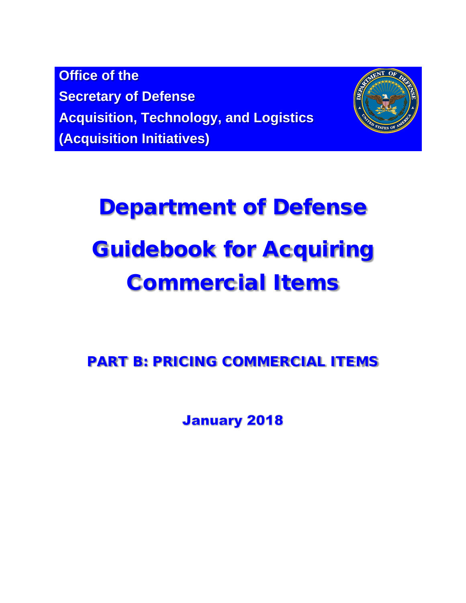**Office of the Secretary of Defense Acquisition, Technology, and Logistics (Acquisition Initiatives)**



# Department of Defense Guidebook for Acquiring Commercial Items

PART B: PRICING COMMERCIAL ITEMS

**January 2018**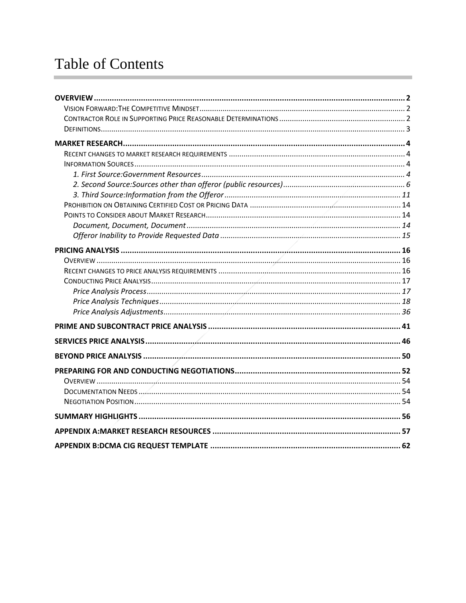# **Table of Contents**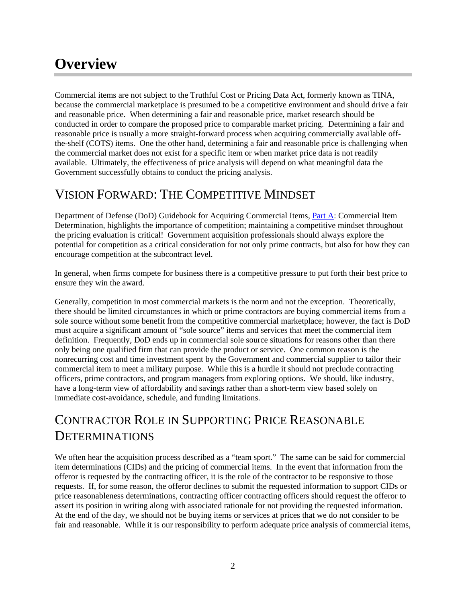# <span id="page-2-0"></span>**Overview**

Commercial items are not subject to the Truthful Cost or Pricing Data Act, formerly known as TINA, because the commercial marketplace is presumed to be a competitive environment and should drive a fair and reasonable price. When determining a fair and reasonable price, market research should be conducted in order to compare the proposed price to comparable market pricing. Determining a fair and reasonable price is usually a more straight-forward process when acquiring commercially available offthe-shelf (COTS) items. One the other hand, determining a fair and reasonable price is challenging when the commercial market does not exist for a specific item or when market price data is not readily available. Ultimately, the effectiveness of price analysis will depend on what meaningful data the Government successfully obtains to conduct the pricing analysis.

# <span id="page-2-1"></span>VISION FORWARD: THE COMPETITIVE MINDSET

Department of Defense (DoD) Guidebook for Acquiring Commercial Items, [Part A:](https://www.acq.osd.mil/dpap/cpic/cp/docs/Guidebook_Part_A_Commercial_Item_Determination_20180129.pdf) Commercial Item Determination, highlights the importance of competition; maintaining a competitive mindset throughout the pricing evaluation is critical! Government acquisition professionals should always explore the potential for competition as a critical consideration for not only prime contracts, but also for how they can encourage competition at the subcontract level.

In general, when firms compete for business there is a competitive pressure to put forth their best price to ensure they win the award.

Generally, competition in most commercial markets is the norm and not the exception. Theoretically, there should be limited circumstances in which or prime contractors are buying commercial items from a sole source without some benefit from the competitive commercial marketplace; however, the fact is DoD must acquire a significant amount of "sole source" items and services that meet the commercial item definition. Frequently, DoD ends up in commercial sole source situations for reasons other than there only being one qualified firm that can provide the product or service. One common reason is the nonrecurring cost and time investment spent by the Government and commercial supplier to tailor their commercial item to meet a military purpose. While this is a hurdle it should not preclude contracting officers, prime contractors, and program managers from exploring options. We should, like industry, have a long-term view of affordability and savings rather than a short-term view based solely on immediate cost-avoidance, schedule, and funding limitations.

# <span id="page-2-2"></span>CONTRACTOR ROLE IN SUPPORTING PRICE REASONABLE **DETERMINATIONS**

We often hear the acquisition process described as a "team sport." The same can be said for commercial item determinations (CIDs) and the pricing of commercial items. In the event that information from the offeror is requested by the contracting officer, it is the role of the contractor to be responsive to those requests. If, for some reason, the offeror declines to submit the requested information to support CIDs or price reasonableness determinations, contracting officer contracting officers should request the offeror to assert its position in writing along with associated rationale for not providing the requested information. At the end of the day, we should not be buying items or services at prices that we do not consider to be fair and reasonable. While it is our responsibility to perform adequate price analysis of commercial items,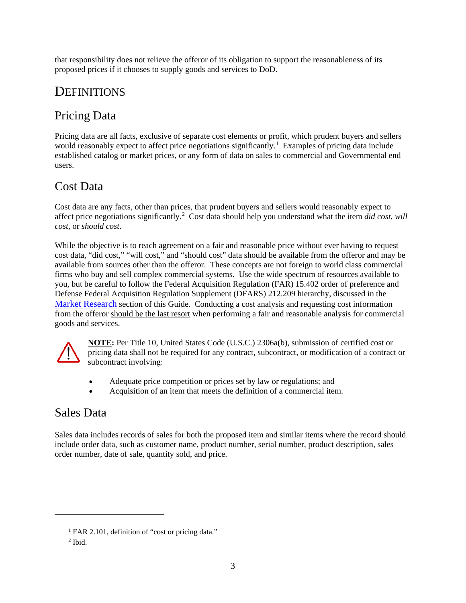that responsibility does not relieve the offeror of its obligation to support the reasonableness of its proposed prices if it chooses to supply goods and services to DoD.

# <span id="page-3-0"></span>**DEFINITIONS**

# Pricing Data

Pricing data are all facts, exclusive of separate cost elements or profit, which prudent buyers and sellers would reasonably expect to affect price negotiations significantly.<sup>[1](#page-3-1)</sup> Examples of pricing data include established catalog or market prices, or any form of data on sales to commercial and Governmental end users.

# Cost Data

Cost data are any facts, other than prices, that prudent buyers and sellers would reasonably expect to affect price negotiations significantly. [2](#page-3-2) Cost data should help you understand what the item *did cost, will cost*, or *should cost*.

While the objective is to reach agreement on a fair and reasonable price without ever having to request cost data, "did cost," "will cost," and "should cost" data should be available from the offeror and may be available from sources other than the offeror. These concepts are not foreign to world class commercial firms who buy and sell complex commercial systems. Use the wide spectrum of resources available to you, but be careful to follow the Federal Acquisition Regulation (FAR) 15.402 order of preference and Defense Federal Acquisition Regulation Supplement (DFARS) 212.209 hierarchy, discussed in the [Market Research](#page-4-0) section of this Guide. Conducting a cost analysis and requesting cost information from the offeror should be the last resort when performing a fair and reasonable analysis for commercial goods and services.



**NOTE:** Per Title 10, United States Code (U.S.C.) 2306a(b), submission of certified cost or pricing data shall not be required for any contract, subcontract, or modification of a contract or subcontract involving:

- Adequate price competition or prices set by law or regulations; and
- Acquisition of an item that meets the definition of a commercial item.

# Sales Data

Sales data includes records of sales for both the proposed item and similar items where the record should include order data, such as customer name, product number, serial number, product description, sales order number, date of sale, quantity sold, and price.

<span id="page-3-2"></span><span id="page-3-1"></span> $\overline{a}$ 

<sup>&</sup>lt;sup>1</sup> FAR 2.101, definition of "cost or pricing data."

<sup>2</sup> Ibid.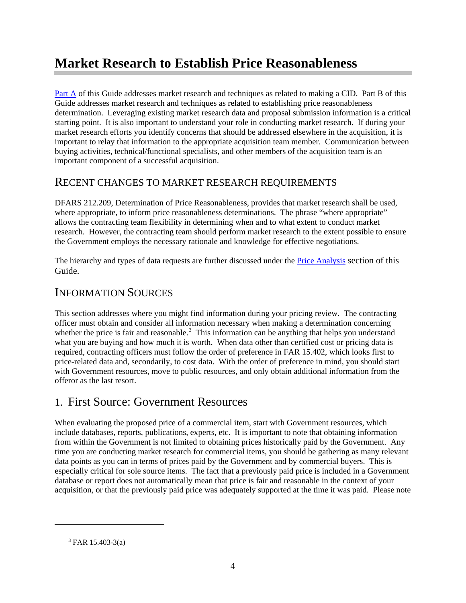# <span id="page-4-0"></span>**Market Research to Establish Price Reasonableness**

[Part A](https://www.acq.osd.mil/dpap/cpic/cp/docs/Guidebook_Part_A_Commercial_Item_Determination_20180129.pdf) of this Guide addresses market research and techniques as related to making a CID. Part B of this Guide addresses market research and techniques as related to establishing price reasonableness determination. Leveraging existing market research data and proposal submission information is a critical starting point. It is also important to understand your role in conducting market research. If during your market research efforts you identify concerns that should be addressed elsewhere in the acquisition, it is important to relay that information to the appropriate acquisition team member. Communication between buying activities, technical/functional specialists, and other members of the acquisition team is an important component of a successful acquisition.

# <span id="page-4-1"></span>RECENT CHANGES TO MARKET RESEARCH REQUIREMENTS

DFARS 212.209, Determination of Price Reasonableness, provides that market research shall be used, where appropriate, to inform price reasonableness determinations. The phrase "where appropriate" allows the contracting team flexibility in determining when and to what extent to conduct market research. However, the contracting team should perform market research to the extent possible to ensure the Government employs the necessary rationale and knowledge for effective negotiations.

The hierarchy and types of data requests are further discussed under the [Price Analysis](#page-15-1) section of this Guide.

# <span id="page-4-2"></span>INFORMATION SOURCES

This section addresses where you might find information during your pricing review. The contracting officer must obtain and consider all information necessary when making a determination concerning whether the price is fair and reasonable.<sup>[3](#page-4-4)</sup> This information can be anything that helps you understand what you are buying and how much it is worth. When data other than certified cost or pricing data is required, contracting officers must follow the order of preference in FAR 15.402, which looks first to price-related data and, secondarily, to cost data. With the order of preference in mind, you should start with Government resources, move to public resources, and only obtain additional information from the offeror as the last resort.

# <span id="page-4-3"></span>1. First Source: Government Resources

When evaluating the proposed price of a commercial item, start with Government resources, which include databases, reports, publications, experts, etc. It is important to note that obtaining information from within the Government is not limited to obtaining prices historically paid by the Government. Any time you are conducting market research for commercial items, you should be gathering as many relevant data points as you can in terms of prices paid by the Government and by commercial buyers. This is especially critical for sole source items. The fact that a previously paid price is included in a Government database or report does not automatically mean that price is fair and reasonable in the context of your acquisition, or that the previously paid price was adequately supported at the time it was paid. Please note

<span id="page-4-4"></span> $\overline{a}$ 

 $3$  FAR 15.403-3(a)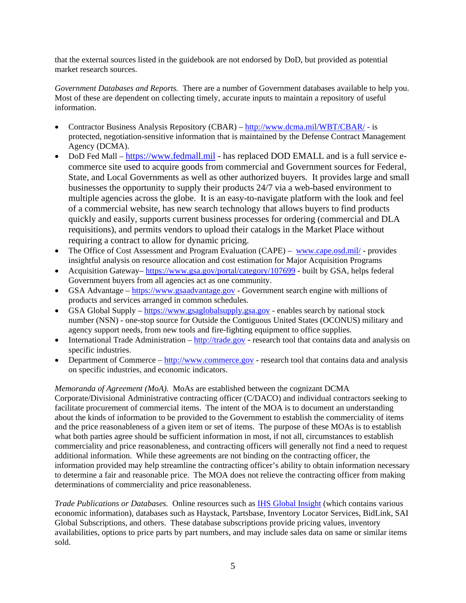that the external sources listed in the guidebook are not endorsed by DoD, but provided as potential market research sources.

*Government Databases and Reports.* There are a number of Government databases available to help you. Most of these are dependent on collecting timely, accurate inputs to maintain a repository of useful information.

- Contractor Business Analysis Repository (CBAR) <http://www.dcma.mil/WBT/CBAR/> is protected, negotiation-sensitive information that is maintained by the Defense Contract Management Agency (DCMA).
- DoD Fed Mall [https://www.fedmall.mil](https://www.fedmall.mil/) has replaced DOD EMALL and is a full service ecommerce site used to acquire goods from commercial and Government sources for Federal, State, and Local Governments as well as other authorized buyers. It provides large and small businesses the opportunity to supply their products 24/7 via a web-based environment to multiple agencies across the globe. It is an easy-to-navigate platform with the look and feel of a commercial website, has new search technology that allows buyers to find products quickly and easily, supports current business processes for ordering (commercial and DLA requisitions), and permits vendors to upload their catalogs in the Market Place without requiring a contract to allow for dynamic pricing.
- The Office of Cost Assessment and Program Evaluation (CAPE) [www.cape.osd.mil/](http://www.cape.osd.mil/-) provides insightful analysis on resource allocation and cost estimation for Major Acquisition Programs
- Acquisition Gateway– <https://www.gsa.gov/portal/category/107699> built by GSA, helps federal Government buyers from all agencies act as one community.
- GSA Advantage [https://www.gsaadvantage.gov](https://www.gsaadvantage.gov/) Government search engine with millions of products and services arranged in common schedules.
- GSA Global Supply [https://www.gsaglobalsupply.gsa.gov](https://www.gsaglobalsupply.gsa.gov/advantage/main/start_page.do?store=FSS) enables search by national stock number (NSN) - one-stop source for Outside the Contiguous United States (OCONUS) military and agency support needs, from new tools and fire-fighting equipment to office supplies.
- International Trade Administration  $\frac{http://trade.gov research tool that contains data and analysis on$  $\frac{http://trade.gov research tool that contains data and analysis on$  $\frac{http://trade.gov research tool that contains data and analysis on$ specific industries.
- Department of Commerce [http://www.commerce.gov](http://www.commerce.gov/) research tool that contains data and analysis on specific industries, and economic indicators.

#### *Memoranda of Agreement (MoA).* MoAs are established between the cognizant DCMA

Corporate/Divisional Administrative contracting officer (C/DACO) and individual contractors seeking to facilitate procurement of commercial items. The intent of the MOA is to document an understanding about the kinds of information to be provided to the Government to establish the commerciality of items and the price reasonableness of a given item or set of items. The purpose of these MOAs is to establish what both parties agree should be sufficient information in most, if not all, circumstances to establish commerciality and price reasonableness, and contracting officers will generally not find a need to request additional information. While these agreements are not binding on the contracting officer, the information provided may help streamline the contracting officer's ability to obtain information necessary to determine a fair and reasonable price. The MOA does not relieve the contracting officer from making determinations of commerciality and price reasonableness.

*Trade Publications or Databases.* Online resources such as [IHS Global Insight](http://www.ihsglobalinsight.com/Perspective/PerspectiveDetail13718.htm) (which contains various economic information), databases such as Haystack, Partsbase, Inventory Locator Services, BidLink, SAI Global Subscriptions, and others. These database subscriptions provide pricing values, inventory availabilities, options to price parts by part numbers, and may include sales data on same or similar items sold.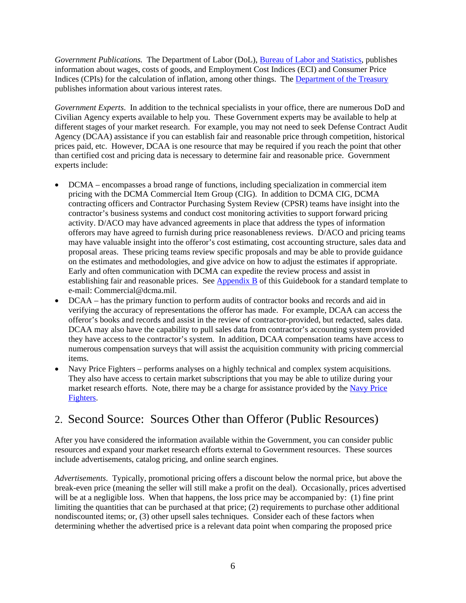*Government Publications.* The Department of Labor (DoL), [Bureau of Labor and Statistics,](https://www.bls.gov/) publishes information about wages, costs of goods, and Employment Cost Indices (ECI) and Consumer Price Indices (CPIs) for the calculation of inflation, among other things. The [Department of the Treasury](https://www.treasury.gov/Pages/default.aspx) publishes information about various interest rates.

*Government Experts*. In addition to the technical specialists in your office, there are numerous DoD and Civilian Agency experts available to help you. These Government experts may be available to help at different stages of your market research. For example, you may not need to seek Defense Contract Audit Agency (DCAA) assistance if you can establish fair and reasonable price through competition, historical prices paid, etc. However, DCAA is one resource that may be required if you reach the point that other than certified cost and pricing data is necessary to determine fair and reasonable price. Government experts include:

- DCMA encompasses a broad range of functions, including specialization in commercial item pricing with the DCMA Commercial Item Group (CIG). In addition to DCMA CIG, DCMA contracting officers and Contractor Purchasing System Review (CPSR) teams have insight into the contractor's business systems and conduct cost monitoring activities to support forward pricing activity. D/ACO may have advanced agreements in place that address the types of information offerors may have agreed to furnish during price reasonableness reviews. D/ACO and pricing teams may have valuable insight into the offeror's cost estimating, cost accounting structure, sales data and proposal areas. These pricing teams review specific proposals and may be able to provide guidance on the estimates and methodologies, and give advice on how to adjust the estimates if appropriate. Early and often communication with DCMA can expedite the review process and assist in establishing fair and reasonable prices. See [Appendix B](#page-62-0) of this Guidebook for a standard template to e-mail: Commercial@dcma.mil.
- DCAA has the primary function to perform audits of contractor books and records and aid in verifying the accuracy of representations the offeror has made. For example, DCAA can access the offeror's books and records and assist in the review of contractor-provided, but redacted, sales data. DCAA may also have the capability to pull sales data from contractor's accounting system provided they have access to the contractor's system. In addition, DCAA compensation teams have access to numerous compensation surveys that will assist the acquisition community with pricing commercial items.
- Navy Price Fighters performs analyses on a highly technical and complex system acquisitions. They also have access to certain market subscriptions that you may be able to utilize during your market research efforts. Note, there may be a charge for assistance provided by the [Navy Price](http://www.secnav.navy.mil/rda/OneSource/Pages/Program%20Assistance%20and%20Tools/Best-Practices-and-Lessons-Learned.aspx) [Fighters.](http://www.secnav.navy.mil/rda/OneSource/Pages/Program%20Assistance%20and%20Tools/Best-Practices-and-Lessons-Learned.aspx)

# <span id="page-6-0"></span>2. Second Source: Sources Other than Offeror (Public Resources)

After you have considered the information available within the Government, you can consider public resources and expand your market research efforts external to Government resources. These sources include advertisements, catalog pricing, and online search engines.

*Advertisements*. Typically, promotional pricing offers a discount below the normal price, but above the break-even price (meaning the seller will still make a profit on the deal). Occasionally, prices advertised will be at a negligible loss. When that happens, the loss price may be accompanied by: (1) fine print limiting the quantities that can be purchased at that price; (2) requirements to purchase other additional nondiscounted items; or, (3) other upsell sales techniques. Consider each of these factors when determining whether the advertised price is a relevant data point when comparing the proposed price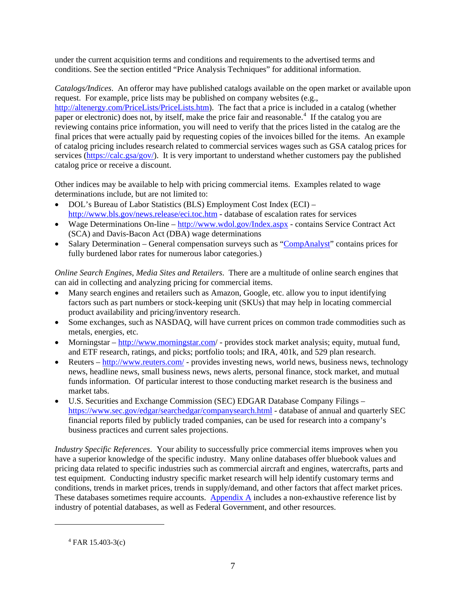under the current acquisition terms and conditions and requirements to the advertised terms and conditions. See the section entitled "Price Analysis Techniques" for additional information.

*Catalogs/Indices*. An offeror may have published catalogs available on the open market or available upon request. For example, price lists may be published on company websites (e.g., [http://altenergy.com/PriceLists/PriceLists.htm\)](http://altenergy.com/PriceLists/PriceLists.htm). The fact that a price is included in a catalog (whether paper or electronic) does not, by itself, make the price fair and reasonable.<sup>[4](#page-7-0)</sup> If the catalog you are reviewing contains price information, you will need to verify that the prices listed in the catalog are the final prices that were actually paid by requesting copies of the invoices billed for the items. An example of catalog pricing includes research related to commercial services wages such as GSA catalog prices for services [\(https://calc.gsa/gov/\)](https://calc.gsa/gov/). It is very important to understand whether customers pay the published catalog price or receive a discount.

Other indices may be available to help with pricing commercial items. Examples related to wage determinations include, but are not limited to:

- DOL's Bureau of Labor Statistics (BLS) Employment Cost Index (ECI) <http://www.bls.gov/news.release/eci.toc.htm> - database of escalation rates for services
- Wage Determinations On-line <http://www.wdol.gov/Index.aspx> contains Service Contract Act (SCA) and Davis-Bacon Act (DBA) wage determinations
- Salary Determination General compensation surveys such as ["CompAnalyst"](https://companalyst.salary.com/companalyst/docs/totalcomp/htmls/CompAnalyst_methodology_USA.html) contains prices for fully burdened labor rates for numerous labor categories.)

*Online Search Engines, Media Sites and Retailers*. There are a multitude of online search engines that can aid in collecting and analyzing pricing for commercial items.

- Many search engines and retailers such as Amazon, Google, etc. allow you to input identifying factors such as part numbers or stock-keeping unit (SKUs) that may help in locating commercial product availability and pricing/inventory research.
- Some exchanges, such as NASDAQ, will have current prices on common trade commodities such as metals, energies, etc.
- Morningstar <http://www.morningstar.com/> provides stock market analysis; equity, mutual fund, and ETF research, ratings, and picks; portfolio tools; and IRA, 401k, and 529 plan research.
- Reuters <http://www.reuters.com/> provides investing news, world news, business news, technology news, headline news, small business news, news alerts, personal finance, stock market, and mutual funds information. Of particular interest to those conducting market research is the business and market tabs.
- U.S. Securities and Exchange Commission (SEC) EDGAR Database Company Filings <https://www.sec.gov/edgar/searchedgar/companysearch.html> - database of annual and quarterly SEC financial reports filed by publicly traded companies, can be used for research into a company's business practices and current sales projections.

*Industry Specific References*. Your ability to successfully price commercial items improves when you have a superior knowledge of the specific industry. Many online databases offer bluebook values and pricing data related to specific industries such as commercial aircraft and engines, watercrafts, parts and test equipment. Conducting industry specific market research will help identify customary terms and conditions, trends in market prices, trends in supply/demand, and other factors that affect market prices. These databases sometimes require accounts. Appendix  $\overline{A}$  includes a non-exhaustive reference list by industry of potential databases, as well as Federal Government, and other resources.

<span id="page-7-0"></span> $\overline{a}$ 

 $4$  FAR 15.403-3(c)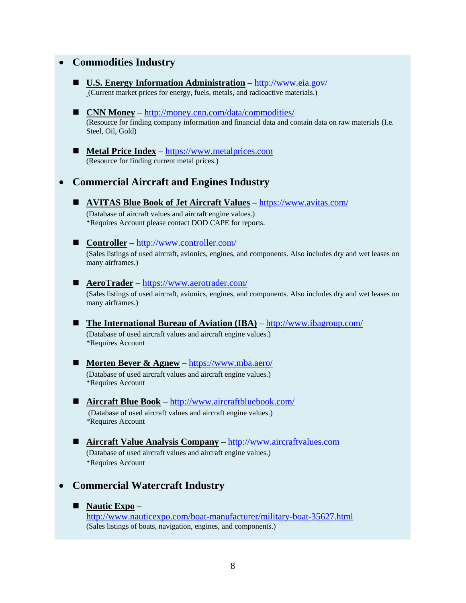### • **Commodities Industry**

- **U.S. Energy Information Administration** <http://www.eia.gov/> (Current market prices for energy, fuels, metals, and radioactive materials.)
- **CNN Money** <http://money.cnn.com/data/commodities/> (Resource for finding company information and financial data and contain data on raw materials (I.e. Steel, Oil, Gold)
- **Metal Price Index** [https://www.metalprices.com](https://www.metalprices.com/) (Resource for finding current metal prices.)

### • **Commercial Aircraft and Engines Industry**

- **AVITAS Blue Book of Jet Aircraft Values** <https://www.avitas.com/> (Database of aircraft values and aircraft engine values.) \*Requires Account please contact DOD CAPE for reports.
- <u>Controller</u> <http://www.controller.com/>

(Sales listings of used aircraft, avionics, engines, and components. Also includes dry and wet leases on many airframes.)

#### ■ **AeroTrader** – <https://www.aerotrader.com/>

(Sales listings of used aircraft, avionics, engines, and components. Also includes dry and wet leases on many airframes.)

 **The International Bureau of Aviation (IBA)** – <http://www.ibagroup.com/> (Database of used aircraft values and aircraft engine values.) \*Requires Account

# ■ **Morten Beyer & Agnew** – <https://www.mba.aero/>

(Database of used aircraft values and aircraft engine values.) \*Requires Account

#### **Aircraft Blue Book** – <http://www.aircraftbluebook.com/> (Database of used aircraft values and aircraft engine values.) \*Requires Account

 **Aircraft Value Analysis Company** – [http://www.aircraftvalues.com](http://www.aircraftvalues.com/) (Database of used aircraft values and aircraft engine values.) \*Requires Account

### • **Commercial Watercraft Industry**

#### **Nautic Expo** –

<http://www.nauticexpo.com/boat-manufacturer/military-boat-35627.html> (Sales listings of boats, navigation, engines, and components.)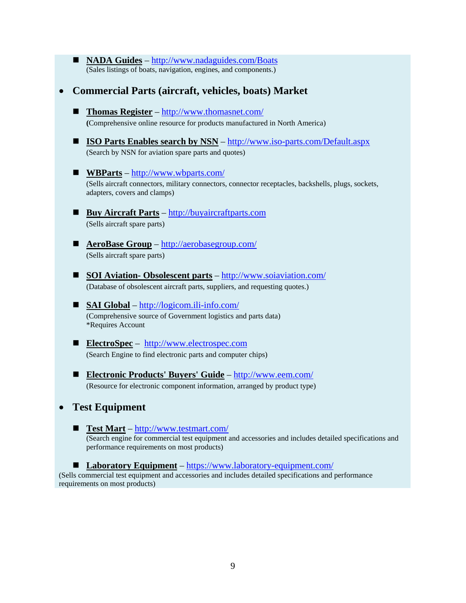- **NADA Guides** <http://www.nadaguides.com/Boats> (Sales listings of boats, navigation, engines, and components.)
- **Commercial Parts (aircraft, vehicles, boats) Market**
	- **Thomas Register** <http://www.thomasnet.com/> **(**Comprehensive online resource for products manufactured in North America)
	- **ISO Parts Enables search by NSN** http://www.iso-parts.com/Default.aspx (Search by NSN for aviation spare parts and quotes)
	- **WBParts** <http://www.wbparts.com/> (Sells aircraft connectors, military connectors, connector receptacles, backshells, plugs, sockets, adapters, covers and clamps)
	- Buy Aircraft Parts [http://buyaircraftparts.com](http://buyaircraftparts.com/) (Sells aircraft spare parts)
	- **AeroBase Group** http://aerobasegroup.com/ (Sells aircraft spare parts)
	- **SOI Aviation- Obsolescent parts** <http://www.soiaviation.com/> (Database of obsolescent aircraft parts, suppliers, and requesting quotes.)
	- **SAI Global** <http://logicom.ili-info.com/> (Comprehensive source of Government logistics and parts data) \*Requires Account
	- **ElectroSpec** [http://www.electrospec.com](http://www.electrospec.com/) (Search Engine to find electronic parts and computer chips)
	- **Electronic Products' Buyers' Guide** <http://www.eem.com/> (Resource for electronic component information, arranged by product type)
- **Test Equipment**
	- **Test Mart** <http://www.testmart.com/> (Search engine for commercial test equipment and accessories and includes detailed specifications and performance requirements on most products)

■ Laboratory Equipment – <https://www.laboratory-equipment.com/> (Sells commercial test equipment and accessories and includes detailed specifications and performance requirements on most products)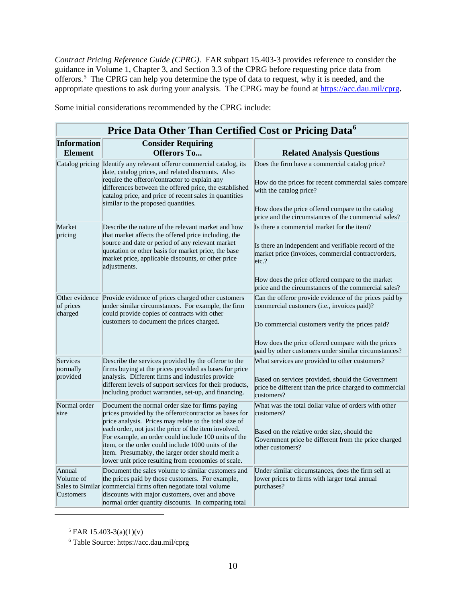*Contract Pricing Reference Guide (CPRG)*. FAR subpart 15.403-3 provides reference to consider the guidance in Volume 1, Chapter 3, and Section 3.3 of the CPRG before requesting price data from offerors.<sup>[5](#page-10-0)</sup> The CPRG can help you determine the type of data to request, why it is needed, and the appropriate questions to ask during your analysis. The CPRG may be found at <https://acc.dau.mil/cprg>**.** 

|                                         | Price Data Other Than Certified Cost or Pricing Data <sup>6</sup>                                                                                                                                                                                                                                                                                                                                                                                     |                                                                                                                                                                                                                                                                                |  |
|-----------------------------------------|-------------------------------------------------------------------------------------------------------------------------------------------------------------------------------------------------------------------------------------------------------------------------------------------------------------------------------------------------------------------------------------------------------------------------------------------------------|--------------------------------------------------------------------------------------------------------------------------------------------------------------------------------------------------------------------------------------------------------------------------------|--|
| <b>Information</b><br><b>Element</b>    | <b>Consider Requiring</b><br><b>Offerors To</b>                                                                                                                                                                                                                                                                                                                                                                                                       | <b>Related Analysis Questions</b>                                                                                                                                                                                                                                              |  |
|                                         | Catalog pricing Identify any relevant offeror commercial catalog, its<br>date, catalog prices, and related discounts. Also<br>require the offeror/contractor to explain any<br>differences between the offered price, the established<br>catalog price, and price of recent sales in quantities<br>similar to the proposed quantities.                                                                                                                | Does the firm have a commercial catalog price?<br>How do the prices for recent commercial sales compare<br>with the catalog price?<br>How does the price offered compare to the catalog<br>price and the circumstances of the commercial sales?                                |  |
| Market<br>pricing                       | Describe the nature of the relevant market and how<br>that market affects the offered price including, the<br>source and date or period of any relevant market<br>quotation or other basis for market price, the base<br>market price, applicable discounts, or other price<br>adjustments.                                                                                                                                                           | Is there a commercial market for the item?<br>Is there an independent and verifiable record of the<br>market price (invoices, commercial contract/orders,<br>etc.?<br>How does the price offered compare to the market<br>price and the circumstances of the commercial sales? |  |
| of prices<br>charged                    | Other evidence Provide evidence of prices charged other customers<br>under similar circumstances. For example, the firm<br>could provide copies of contracts with other<br>customers to document the prices charged.                                                                                                                                                                                                                                  | Can the offeror provide evidence of the prices paid by<br>commercial customers (i.e., invoices paid)?<br>Do commercial customers verify the prices paid?<br>How does the price offered compare with the prices<br>paid by other customers under similar circumstances?         |  |
| Services<br>normally<br>provided        | Describe the services provided by the offeror to the<br>firms buying at the prices provided as bases for price<br>analysis. Different firms and industries provide<br>different levels of support services for their products,<br>including product warranties, set-up, and financing.                                                                                                                                                                | What services are provided to other customers?<br>Based on services provided, should the Government<br>price be different than the price charged to commercial<br>customers?                                                                                                   |  |
| Normal order<br>size                    | Document the normal order size for firms paying<br>prices provided by the offeror/contractor as bases for<br>price analysis. Prices may relate to the total size of<br>each order, not just the price of the item involved.<br>For example, an order could include 100 units of the<br>item, or the order could include 1000 units of the<br>item. Presumably, the larger order should merit a<br>lower unit price resulting from economies of scale. | What was the total dollar value of orders with other<br>customers?<br>Based on the relative order size, should the<br>Government price be different from the price charged<br>other customers?                                                                                 |  |
| Annual<br>Volume of<br><b>Customers</b> | Document the sales volume to similar customers and<br>the prices paid by those customers. For example,<br>Sales to Similar commercial firms often negotiate total volume<br>discounts with major customers, over and above<br>normal order quantity discounts. In comparing total                                                                                                                                                                     | Under similar circumstances, does the firm sell at<br>lower prices to firms with larger total annual<br>purchases?                                                                                                                                                             |  |

Some initial considerations recommended by the CPRG include:

 $5$  FAR 15.403-3(a)(1)(v)

<span id="page-10-1"></span><span id="page-10-0"></span> $\overline{a}$ 

<sup>6</sup> Table Source: https://acc.dau.mil/cprg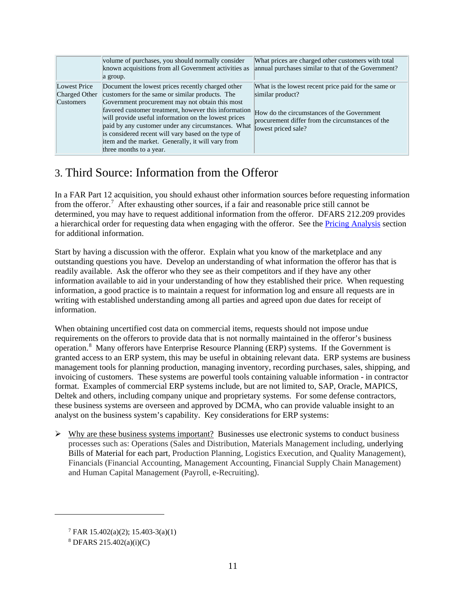|                                                   | volume of purchases, you should normally consider<br>known acquisitions from all Government activities as<br>a group.                                                                                                                                                                                                                                                                                                                                                | What prices are charged other customers with total<br>annual purchases similar to that of the Government?                                                                                         |
|---------------------------------------------------|----------------------------------------------------------------------------------------------------------------------------------------------------------------------------------------------------------------------------------------------------------------------------------------------------------------------------------------------------------------------------------------------------------------------------------------------------------------------|---------------------------------------------------------------------------------------------------------------------------------------------------------------------------------------------------|
| Lowest Price<br>Charged Other<br><b>Customers</b> | Document the lowest prices recently charged other<br>customers for the same or similar products. The<br>Government procurement may not obtain this most<br>favored customer treatment, however this information<br>will provide useful information on the lowest prices<br>paid by any customer under any circumstances. What<br>is considered recent will vary based on the type of<br>item and the market. Generally, it will vary from<br>three months to a year. | What is the lowest recent price paid for the same or<br>similar product?<br>How do the circumstances of the Government<br>procurement differ from the circumstances of the<br>lowest priced sale? |

# <span id="page-11-0"></span>3. Third Source: Information from the Offeror

In a FAR Part 12 acquisition, you should exhaust other information sources before requesting information from the offeror.<sup>[7](#page-11-1)</sup> After exhausting other sources, if a fair and reasonable price still cannot be determined, you may have to request additional information from the offeror. DFARS 212.209 provides a hierarchical order for requesting data when engaging with the offeror. See the [Pricing Analysis](#page-15-1) section for additional information.

Start by having a discussion with the offeror. Explain what you know of the marketplace and any outstanding questions you have. Develop an understanding of what information the offeror has that is readily available. Ask the offeror who they see as their competitors and if they have any other information available to aid in your understanding of how they established their price. When requesting information, a good practice is to maintain a request for information log and ensure all requests are in writing with established understanding among all parties and agreed upon due dates for receipt of information.

When obtaining uncertified cost data on commercial items, requests should not impose undue requirements on the offerors to provide data that is not normally maintained in the offeror's business operation.<sup>[8](#page-11-2)</sup> Many offerors have Enterprise Resource Planning (ERP) systems. If the Government is granted access to an ERP system, this may be useful in obtaining relevant data. ERP systems are business management tools for planning production, managing inventory, recording purchases, sales, shipping, and invoicing of customers. These systems are powerful tools containing valuable information - in contractor format. Examples of commercial ERP systems include, but are not limited to, SAP, Oracle, MAPICS, Deltek and others, including company unique and proprietary systems. For some defense contractors, these business systems are overseen and approved by DCMA, who can provide valuable insight to an analyst on the business system's capability. Key considerations for ERP systems:

 $\triangleright$  Why are these business systems important? Businesses use electronic systems to conduct business processes such as: Operations (Sales and Distribution, Materials Management including, underlying Bills of Material for each part, Production Planning, Logistics Execution, and Quality Management), Financials (Financial Accounting, Management Accounting, Financial Supply Chain Management) and Human Capital Management (Payroll, e-Recruiting).

<span id="page-11-2"></span><span id="page-11-1"></span> $\overline{a}$ 

<sup>7</sup> FAR 15.402(a)(2); 15.403-3(a)(1)

<sup>8</sup> DFARS 215.402(a)(i)(C)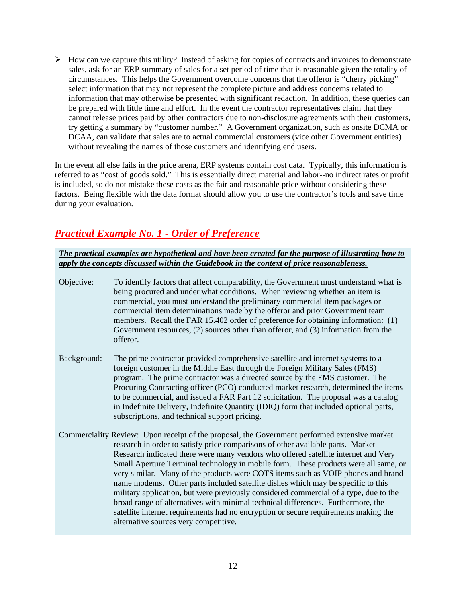$\triangleright$  How can we capture this utility? Instead of asking for copies of contracts and invoices to demonstrate sales, ask for an ERP summary of sales for a set period of time that is reasonable given the totality of circumstances. This helps the Government overcome concerns that the offeror is "cherry picking" select information that may not represent the complete picture and address concerns related to information that may otherwise be presented with significant redaction. In addition, these queries can be prepared with little time and effort. In the event the contractor representatives claim that they cannot release prices paid by other contractors due to non-disclosure agreements with their customers, try getting a summary by "customer number." A Government organization, such as onsite DCMA or DCAA, can validate that sales are to actual commercial customers (vice other Government entities) without revealing the names of those customers and identifying end users.

In the event all else fails in the price arena, ERP systems contain cost data. Typically, this information is referred to as "cost of goods sold." This is essentially direct material and labor--no indirect rates or profit is included, so do not mistake these costs as the fair and reasonable price without considering these factors. Being flexible with the data format should allow you to use the contractor's tools and save time during your evaluation.

# *Practical Example No. 1 - Order of Preference*

*The practical examples are hypothetical and have been created for the purpose of illustrating how to apply the concepts discussed within the Guidebook in the context of price reasonableness.* 

Objective: To identify factors that affect comparability, the Government must understand what is being procured and under what conditions. When reviewing whether an item is commercial, you must understand the preliminary commercial item packages or commercial item determinations made by the offeror and prior Government team members. Recall the FAR 15.402 order of preference for obtaining information: (1) Government resources, (2) sources other than offeror, and (3) information from the offeror.

- Background: The prime contractor provided comprehensive satellite and internet systems to a foreign customer in the Middle East through the Foreign Military Sales (FMS) program. The prime contractor was a directed source by the FMS customer. The Procuring Contracting officer (PCO) conducted market research, determined the items to be commercial, and issued a FAR Part 12 solicitation. The proposal was a catalog in Indefinite Delivery, Indefinite Quantity (IDIQ) form that included optional parts, subscriptions, and technical support pricing.
- Commerciality Review: Upon receipt of the proposal, the Government performed extensive market research in order to satisfy price comparisons of other available parts. Market Research indicated there were many vendors who offered satellite internet and Very Small Aperture Terminal technology in mobile form. These products were all same, or very similar. Many of the products were COTS items such as VOIP phones and brand name modems. Other parts included satellite dishes which may be specific to this military application, but were previously considered commercial of a type, due to the broad range of alternatives with minimal technical differences. Furthermore, the satellite internet requirements had no encryption or secure requirements making the alternative sources very competitive.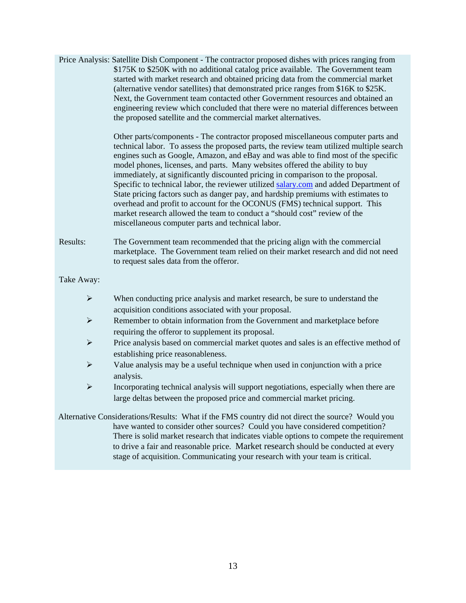Price Analysis: Satellite Dish Component - The contractor proposed dishes with prices ranging from \$175K to \$250K with no additional catalog price available. The Government team started with market research and obtained pricing data from the commercial market (alternative vendor satellites) that demonstrated price ranges from \$16K to \$25K. Next, the Government team contacted other Government resources and obtained an engineering review which concluded that there were no material differences between the proposed satellite and the commercial market alternatives.

> Other parts/components - The contractor proposed miscellaneous computer parts and technical labor. To assess the proposed parts, the review team utilized multiple search engines such as Google, Amazon, and eBay and was able to find most of the specific model phones, licenses, and parts. Many websites offered the ability to buy immediately, at significantly discounted pricing in comparison to the proposal. Specific to technical labor, the reviewer utilized [salary.com](http://salary.com/) and added Department of State pricing factors such as danger pay, and hardship premiums with estimates to overhead and profit to account for the OCONUS (FMS) technical support. This market research allowed the team to conduct a "should cost" review of the miscellaneous computer parts and technical labor.

Results: The Government team recommended that the pricing align with the commercial marketplace. The Government team relied on their market research and did not need to request sales data from the offeror.

Take Away:

- $\triangleright$  When conducting price analysis and market research, be sure to understand the acquisition conditions associated with your proposal.
- Remember to obtain information from the Government and marketplace before requiring the offeror to supplement its proposal.
- Price analysis based on commercial market quotes and sales is an effective method of establishing price reasonableness.
- $\triangleright$  Value analysis may be a useful technique when used in conjunction with a price analysis.
- $\triangleright$  Incorporating technical analysis will support negotiations, especially when there are large deltas between the proposed price and commercial market pricing.

Alternative Considerations/Results: What if the FMS country did not direct the source? Would you have wanted to consider other sources? Could you have considered competition? There is solid market research that indicates viable options to compete the requirement to drive a fair and reasonable price. Market research should be conducted at every stage of acquisition. Communicating your research with your team is critical.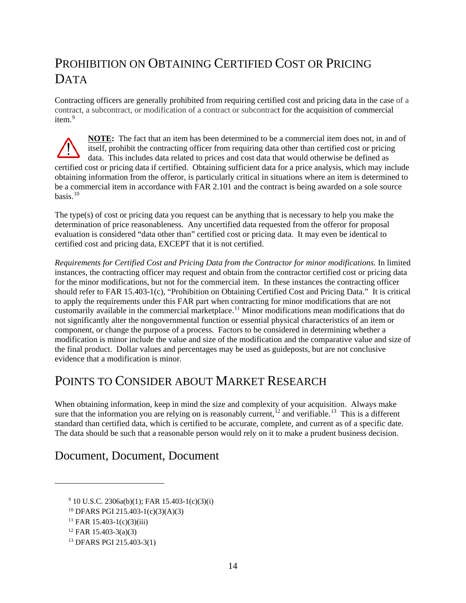# <span id="page-14-0"></span>PROHIBITION ON OBTAINING CERTIFIED COST OR PRICING DATA

Contracting officers are generally prohibited from requiring certified cost and pricing data in the case of a contract, a subcontract, or modification of a contract or subcontract for the acquisition of commercial item. [9](#page-14-3)

**NOTE:** The fact that an item has been determined to be a commercial item does not, in and of itself, prohibit the contracting officer from requiring data other than certified cost or pricing data. This includes data related to prices and cost data that would otherwise be defined as certified cost or pricing data if certified. Obtaining sufficient data for a price analysis, which may include obtaining information from the offeror, is particularly critical in situations where an item is determined to be a commercial item in accordance with FAR 2.101 and the contract is being awarded on a sole source basis. [10](#page-14-4)

The type(s) of cost or pricing data you request can be anything that is necessary to help you make the determination of price reasonableness. Any uncertified data requested from the offeror for proposal evaluation is considered "data other than" certified cost or pricing data. It may even be identical to certified cost and pricing data, EXCEPT that it is not certified.

*Requirements for Certified Cost and Pricing Data from the Contractor for minor modifications.* In limited instances, the contracting officer may request and obtain from the contractor certified cost or pricing data for the minor modifications, but not for the commercial item. In these instances the contracting officer should refer to FAR 15.403-1(c), "Prohibition on Obtaining Certified Cost and Pricing Data." It is critical to apply the requirements under this FAR part when contracting for minor modifications that are not customarily available in the commercial marketplace. [11](#page-14-5) Minor modifications mean modifications that do not significantly alter the nongovernmental function or essential physical characteristics of an item or component, or change the purpose of a process. Factors to be considered in determining whether a modification is minor include the value and size of the modification and the comparative value and size of the final product. Dollar values and percentages may be used as guideposts, but are not conclusive evidence that a modification is minor.

# <span id="page-14-1"></span>POINTS TO CONSIDER ABOUT MARKET RESEARCH

When obtaining information, keep in mind the size and complexity of your acquisition. Always make sure that the information you are relying on is reasonably current,<sup>[12](#page-14-6)</sup> and verifiable.<sup>[13](#page-14-7)</sup> This is a different standard than certified data, which is certified to be accurate, complete, and current as of a specific date. The data should be such that a reasonable person would rely on it to make a prudent business decision.

# <span id="page-14-2"></span>Document, Document, Document

<span id="page-14-5"></span><span id="page-14-4"></span><span id="page-14-3"></span> $\overline{a}$ 

 $9\,10$  U.S.C. 2306a(b)(1); FAR 15.403-1(c)(3)(i)

<sup>10</sup> DFARS PGI 215.403-1(c)(3)(A)(3)

 $11$  FAR 15.403-1(c)(3)(iii)

<span id="page-14-6"></span> $12$  FAR 15.403-3(a)(3)

<span id="page-14-7"></span><sup>13</sup> DFARS PGI 215.403-3(1)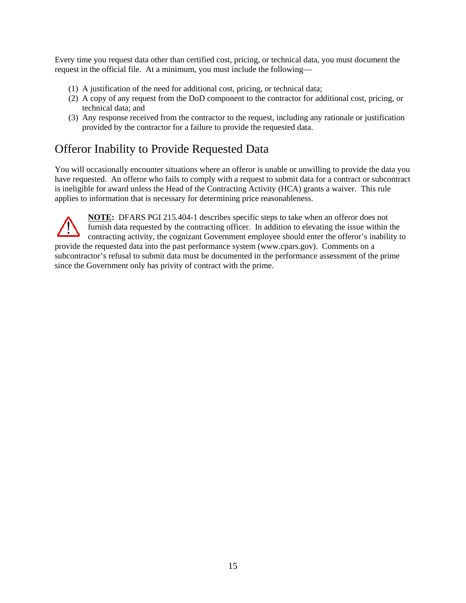Every time you request data other than certified cost, pricing, or technical data, you must document the request in the official file. At a minimum, you must include the following—

- (1) A justification of the need for additional cost, pricing, or technical data;
- (2) A copy of any request from the DoD component to the contractor for additional cost, pricing, or technical data; and
- (3) Any response received from the contractor to the request, including any rationale or justification provided by the contractor for a failure to provide the requested data.

# <span id="page-15-0"></span>Offeror Inability to Provide Requested Data

You will occasionally encounter situations where an offeror is unable or unwilling to provide the data you have requested. An offeror who fails to comply with a request to submit data for a contract or subcontract is ineligible for award unless the Head of the Contracting Activity (HCA) grants a waiver. This rule applies to information that is necessary for determining price reasonableness.

<span id="page-15-1"></span>**NOTE:** DFARS PGI 215.404-1 describes specific steps to take when an offeror does not furnish data requested by the contracting officer. In addition to elevating the issue within the contracting activity, the cognizant Government employee should enter the offeror's inability to provide the requested data into the past performance system (www.cpars.gov). Comments on a subcontractor's refusal to submit data must be documented in the performance assessment of the prime since the Government only has privity of contract with the prime.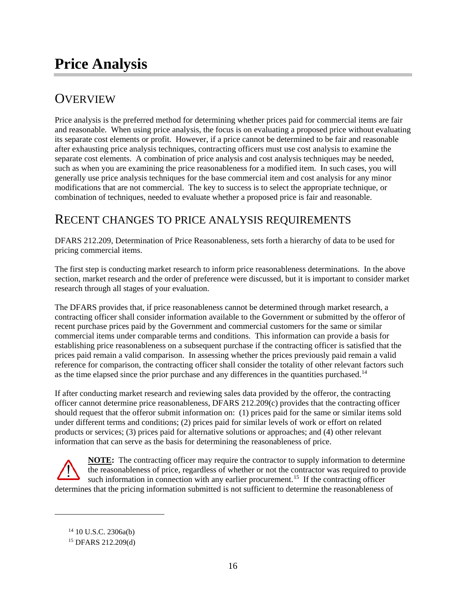# **Price Analysis**

# <span id="page-16-0"></span>**OVERVIEW**

Price analysis is the preferred method for determining whether prices paid for commercial items are fair and reasonable. When using price analysis, the focus is on evaluating a proposed price without evaluating its separate cost elements or profit. However, if a price cannot be determined to be fair and reasonable after exhausting price analysis techniques, contracting officers must use cost analysis to examine the separate cost elements. A combination of price analysis and cost analysis techniques may be needed, such as when you are examining the price reasonableness for a modified item. In such cases, you will generally use price analysis techniques for the base commercial item and cost analysis for any minor modifications that are not commercial. The key to success is to select the appropriate technique, or combination of techniques, needed to evaluate whether a proposed price is fair and reasonable.

# <span id="page-16-1"></span>RECENT CHANGES TO PRICE ANALYSIS REQUIREMENTS

DFARS 212.209, Determination of Price Reasonableness, sets forth a hierarchy of data to be used for pricing commercial items.

The first step is conducting market research to inform price reasonableness determinations. In the above section, market research and the order of preference were discussed, but it is important to consider market research through all stages of your evaluation.

The DFARS provides that, if price reasonableness cannot be determined through market research, a contracting officer shall consider information available to the Government or submitted by the offeror of recent purchase prices paid by the Government and commercial customers for the same or similar commercial items under comparable terms and conditions. This information can provide a basis for establishing price reasonableness on a subsequent purchase if the contracting officer is satisfied that the prices paid remain a valid comparison. In assessing whether the prices previously paid remain a valid reference for comparison, the contracting officer shall consider the totality of other relevant factors such as the time elapsed since the prior purchase and any differences in the quantities purchased.<sup>[14](#page-16-2)</sup>

If after conducting market research and reviewing sales data provided by the offeror, the contracting officer cannot determine price reasonableness, DFARS 212.209(c) provides that the contracting officer should request that the offeror submit information on: (1) prices paid for the same or similar items sold under different terms and conditions; (2) prices paid for similar levels of work or effort on related products or services; (3) prices paid for alternative solutions or approaches; and (4) other relevant information that can serve as the basis for determining the reasonableness of price.

**NOTE:** The contracting officer may require the contractor to supply information to determine the reasonableness of price, regardless of whether or not the contractor was required to provide such information in connection with any earlier procurement.<sup>[15](#page-16-3)</sup> If the contracting officer determines that the pricing information submitted is not sufficient to determine the reasonableness of

<span id="page-16-3"></span><span id="page-16-2"></span> $\overline{a}$ 

<sup>14</sup> 10 U.S.C. 2306a(b)

<sup>15</sup> DFARS 212.209(d)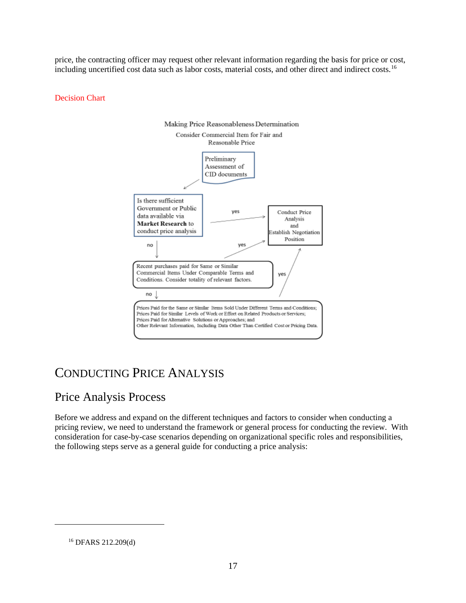price, the contracting officer may request other relevant information regarding the basis for price or cost, including uncertified cost data such as labor costs, material costs, and other direct and indirect costs. [16](#page-17-2)

#### Decision Chart



# <span id="page-17-0"></span>CONDUCTING PRICE ANALYSIS

# <span id="page-17-1"></span>Price Analysis Process

Before we address and expand on the different techniques and factors to consider when conducting a pricing review, we need to understand the framework or general process for conducting the review. With consideration for case-by-case scenarios depending on organizational specific roles and responsibilities, the following steps serve as a general guide for conducting a price analysis:

<span id="page-17-2"></span> $\overline{a}$ 

<sup>16</sup> DFARS 212.209(d)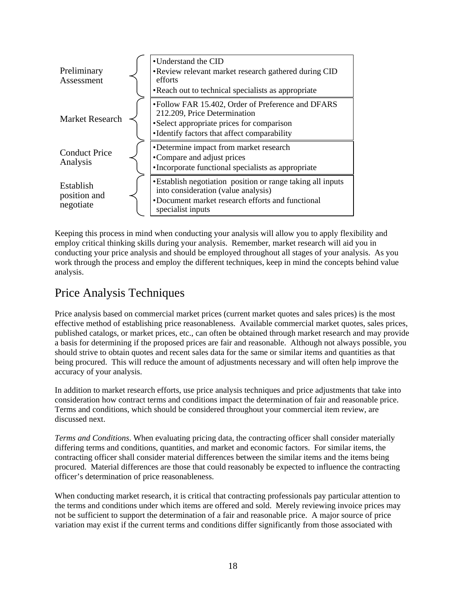

Keeping this process in mind when conducting your analysis will allow you to apply flexibility and employ critical thinking skills during your analysis. Remember, market research will aid you in conducting your price analysis and should be employed throughout all stages of your analysis. As you work through the process and employ the different techniques, keep in mind the concepts behind value analysis.

# <span id="page-18-0"></span>Price Analysis Techniques

Price analysis based on commercial market prices (current market quotes and sales prices) is the most effective method of establishing price reasonableness. Available commercial market quotes, sales prices, published catalogs, or market prices, etc., can often be obtained through market research and may provide a basis for determining if the proposed prices are fair and reasonable. Although not always possible, you should strive to obtain quotes and recent sales data for the same or similar items and quantities as that being procured. This will reduce the amount of adjustments necessary and will often help improve the accuracy of your analysis.

In addition to market research efforts, use price analysis techniques and price adjustments that take into consideration how contract terms and conditions impact the determination of fair and reasonable price. Terms and conditions, which should be considered throughout your commercial item review, are discussed next.

*Terms and Conditions*. When evaluating pricing data, the contracting officer shall consider materially differing terms and conditions, quantities, and market and economic factors. For similar items, the contracting officer shall consider material differences between the similar items and the items being procured. Material differences are those that could reasonably be expected to influence the contracting officer's determination of price reasonableness.

When conducting market research, it is critical that contracting professionals pay particular attention to the terms and conditions under which items are offered and sold. Merely reviewing invoice prices may not be sufficient to support the determination of a fair and reasonable price. A major source of price variation may exist if the current terms and conditions differ significantly from those associated with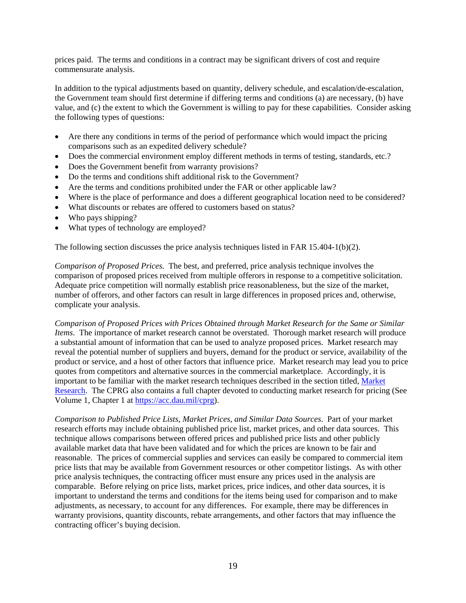prices paid. The terms and conditions in a contract may be significant drivers of cost and require commensurate analysis.

In addition to the typical adjustments based on quantity, delivery schedule, and escalation/de-escalation, the Government team should first determine if differing terms and conditions (a) are necessary, (b) have value, and (c) the extent to which the Government is willing to pay for these capabilities. Consider asking the following types of questions:

- Are there any conditions in terms of the period of performance which would impact the pricing comparisons such as an expedited delivery schedule?
- Does the commercial environment employ different methods in terms of testing, standards, etc.?
- Does the Government benefit from warranty provisions?
- Do the terms and conditions shift additional risk to the Government?
- Are the terms and conditions prohibited under the FAR or other applicable law?
- Where is the place of performance and does a different geographical location need to be considered?
- What discounts or rebates are offered to customers based on status?
- Who pays shipping?
- What types of technology are employed?

The following section discusses the price analysis techniques listed in FAR 15.404-1(b)(2).

*Comparison of Proposed Prices.* The best, and preferred, price analysis technique involves the comparison of proposed prices received from multiple offerors in response to a competitive solicitation. Adequate price competition will normally establish price reasonableness, but the size of the market, number of offerors, and other factors can result in large differences in proposed prices and, otherwise, complicate your analysis.

*Comparison of Proposed Prices with Prices Obtained through Market Research for the Same or Similar Items*. The importance of market research cannot be overstated. Thorough market research will produce a substantial amount of information that can be used to analyze proposed prices. Market research may reveal the potential number of suppliers and buyers, demand for the product or service, availability of the product or service, and a host of other factors that influence price. Market research may lead you to price quotes from competitors and alternative sources in the commercial marketplace. Accordingly, it is important to be familiar with the market research techniques described in the section titled, Market Research. The CPRG also contains a full chapter devoted to conducting market research for pricing (See Volume 1, Chapter 1 at [https://acc.dau.mil/cprg\)](https://acc.dau.mil/cprg).

*Comparison to Published Price Lists, Market Prices, and Similar Data Sources*. Part of your market research efforts may include obtaining published price list, market prices, and other data sources. This technique allows comparisons between offered prices and published price lists and other publicly available market data that have been validated and for which the prices are known to be fair and reasonable. The prices of commercial supplies and services can easily be compared to commercial item price lists that may be available from Government resources or other competitor listings. As with other price analysis techniques, the contracting officer must ensure any prices used in the analysis are comparable. Before relying on price lists, market prices, price indices, and other data sources, it is important to understand the terms and conditions for the items being used for comparison and to make adjustments, as necessary, to account for any differences. For example, there may be differences in warranty provisions, quantity discounts, rebate arrangements, and other factors that may influence the contracting officer's buying decision.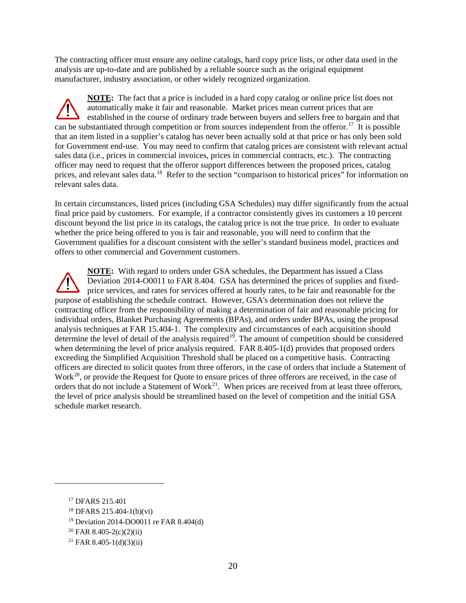The contracting officer must ensure any online catalogs, hard copy price lists, or other data used in the analysis are up-to-date and are published by a reliable source such as the original equipment manufacturer, industry association, or other widely recognized organization.

**NOTE:** The fact that a price is included in a hard copy catalog or online price list does not automatically make it fair and reasonable. Market prices mean current prices that are established in the course of ordinary trade between buyers and sellers free to bargain and that can be substantiated through competition or from sources independent from the offeror.<sup>[17](#page-20-0)</sup> It is possible that an item listed in a supplier's catalog has never been actually sold at that price or has only been sold for Government end-use. You may need to confirm that catalog prices are consistent with relevant actual sales data (i.e., prices in commercial invoices, prices in commercial contracts, etc.). The contracting officer may need to request that the offeror support differences between the proposed prices, catalog prices, and relevant sales data.<sup>[18](#page-20-1)</sup> Refer to the section "comparison to historical prices" for information on relevant sales data.

In certain circumstances, listed prices (including GSA Schedules) may differ significantly from the actual final price paid by customers. For example, if a contractor consistently gives its customers a 10 percent discount beyond the list price in its catalogs, the catalog price is not the true price. In order to evaluate whether the price being offered to you is fair and reasonable, you will need to confirm that the Government qualifies for a discount consistent with the seller's standard business model, practices and offers to other commercial and Government customers.

**NOTE:** With regard to orders under GSA schedules, the Department has issued a Class Deviation 2014-O0011 to FAR 8.404. GSA has determined the prices of supplies and fixedprice services, and rates for services offered at hourly rates, to be fair and reasonable for the purpose of establishing the schedule contract. However, GSA's determination does not relieve the contracting officer from the responsibility of making a determination of fair and reasonable pricing for individual orders, Blanket Purchasing Agreements (BPAs), and orders under BPAs, using the proposal analysis techniques at FAR 15.404-1. The complexity and circumstances of each acquisition should determine the level of detail of the analysis required<sup>19</sup>. The amount of competition should be considered when determining the level of price analysis required. FAR 8.405-1(d) provides that proposed orders exceeding the Simplified Acquisition Threshold shall be placed on a competitive basis. Contracting officers are directed to solicit quotes from three offerors, in the case of orders that include a Statement of Work<sup>20</sup>, or provide the Request for Quote to ensure prices of three offerors are received, in the case of orders that do not include a Statement of Work<sup>[21](#page-20-4)</sup>. When prices are received from at least three offerors, the level of price analysis should be streamlined based on the level of competition and the initial GSA schedule market research.

<span id="page-20-2"></span><span id="page-20-1"></span><span id="page-20-0"></span> $\overline{a}$ 

<sup>&</sup>lt;sup>17</sup> DFARS 215.401

<sup>18</sup> DFARS 215.404-1(b)(vi)

<sup>19</sup> Deviation 2014-DO0011 re FAR 8.404(d)

<span id="page-20-3"></span> $^{20}$  FAR 8.405-2(c)(2)(ii)

<span id="page-20-4"></span> $^{21}$  FAR 8.405-1(d)(3)(ii)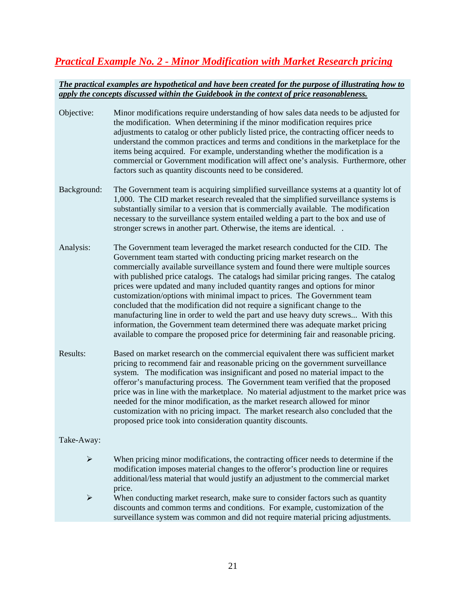# *Practical Example No. 2 - Minor Modification with Market Research pricing*

#### *The practical examples are hypothetical and have been created for the purpose of illustrating how to apply the concepts discussed within the Guidebook in the context of price reasonableness.*

- Objective: Minor modifications require understanding of how sales data needs to be adjusted for the modification. When determining if the minor modification requires price adjustments to catalog or other publicly listed price, the contracting officer needs to understand the common practices and terms and conditions in the marketplace for the items being acquired. For example, understanding whether the modification is a commercial or Government modification will affect one's analysis. Furthermore, other factors such as quantity discounts need to be considered.
- Background: The Government team is acquiring simplified surveillance systems at a quantity lot of 1,000. The CID market research revealed that the simplified surveillance systems is substantially similar to a version that is commercially available. The modification necessary to the surveillance system entailed welding a part to the box and use of stronger screws in another part. Otherwise, the items are identical. .
- Analysis: The Government team leveraged the market research conducted for the CID. The Government team started with conducting pricing market research on the commercially available surveillance system and found there were multiple sources with published price catalogs. The catalogs had similar pricing ranges. The catalog prices were updated and many included quantity ranges and options for minor customization/options with minimal impact to prices. The Government team concluded that the modification did not require a significant change to the manufacturing line in order to weld the part and use heavy duty screws... With this information, the Government team determined there was adequate market pricing available to compare the proposed price for determining fair and reasonable pricing.
- Results: Based on market research on the commercial equivalent there was sufficient market pricing to recommend fair and reasonable pricing on the government surveillance system. The modification was insignificant and posed no material impact to the offeror's manufacturing process. The Government team verified that the proposed price was in line with the marketplace. No material adjustment to the market price was needed for the minor modification, as the market research allowed for minor customization with no pricing impact. The market research also concluded that the proposed price took into consideration quantity discounts.

#### Take-Away:

- $\triangleright$  When pricing minor modifications, the contracting officer needs to determine if the modification imposes material changes to the offeror's production line or requires additional/less material that would justify an adjustment to the commercial market price.
- $\triangleright$  When conducting market research, make sure to consider factors such as quantity discounts and common terms and conditions. For example, customization of the surveillance system was common and did not require material pricing adjustments.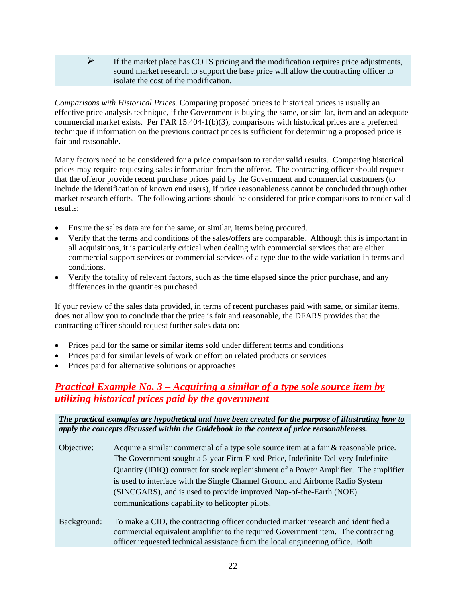#### $\triangleright$  If the market place has COTS pricing and the modification requires price adjustments, sound market research to support the base price will allow the contracting officer to isolate the cost of the modification.

*Comparisons with Historical Prices.* Comparing proposed prices to historical prices is usually an effective price analysis technique, if the Government is buying the same, or similar, item and an adequate commercial market exists. Per FAR 15.404-1(b)(3), comparisons with historical prices are a preferred technique if information on the previous contract prices is sufficient for determining a proposed price is fair and reasonable.

Many factors need to be considered for a price comparison to render valid results. Comparing historical prices may require requesting sales information from the offeror. The contracting officer should request that the offeror provide recent purchase prices paid by the Government and commercial customers (to include the identification of known end users), if price reasonableness cannot be concluded through other market research efforts. The following actions should be considered for price comparisons to render valid results:

- Ensure the sales data are for the same, or similar, items being procured.
- Verify that the terms and conditions of the sales/offers are comparable. Although this is important in all acquisitions, it is particularly critical when dealing with commercial services that are either commercial support services or commercial services of a type due to the wide variation in terms and conditions.
- Verify the totality of relevant factors, such as the time elapsed since the prior purchase, and any differences in the quantities purchased.

If your review of the sales data provided, in terms of recent purchases paid with same, or similar items, does not allow you to conclude that the price is fair and reasonable, the DFARS provides that the contracting officer should request further sales data on:

- Prices paid for the same or similar items sold under different terms and conditions
- Prices paid for similar levels of work or effort on related products or services
- Prices paid for alternative solutions or approaches

# *Practical Example No. 3 – Acquiring a similar of a type sole source item by utilizing historical prices paid by the government*

#### *The practical examples are hypothetical and have been created for the purpose of illustrating how to apply the concepts discussed within the Guidebook in the context of price reasonableness.*

| Objective:  | Acquire a similar commercial of a type sole source item at a fair & reasonable price.                                                                                                                         |
|-------------|---------------------------------------------------------------------------------------------------------------------------------------------------------------------------------------------------------------|
|             | The Government sought a 5-year Firm-Fixed-Price, Indefinite-Delivery Indefinite-                                                                                                                              |
|             | Quantity (IDIQ) contract for stock replenishment of a Power Amplifier. The amplifier                                                                                                                          |
|             | is used to interface with the Single Channel Ground and Airborne Radio System                                                                                                                                 |
|             | (SINCGARS), and is used to provide improved Nap-of-the-Earth (NOE)                                                                                                                                            |
|             | communications capability to helicopter pilots.                                                                                                                                                               |
| Background: | To make a CID, the contracting officer conducted market research and identified a<br>$\sim$ . The contraction of the constitution of the constant $\sim$ . The constant $\sim$ . The constant of the constant |

commercial equivalent amplifier to the required Government item. The contracting officer requested technical assistance from the local engineering office. Both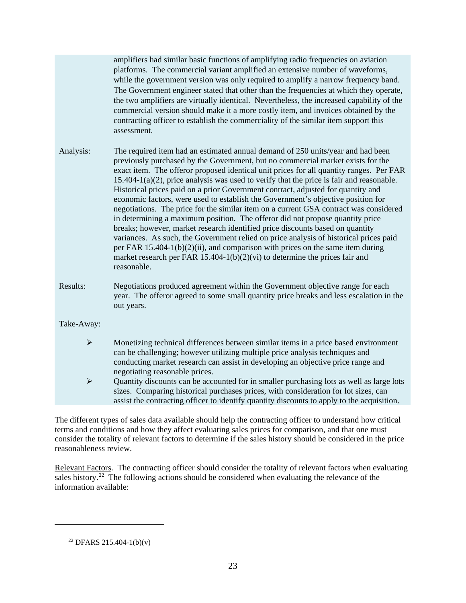amplifiers had similar basic functions of amplifying radio frequencies on aviation platforms. The commercial variant amplified an extensive number of waveforms, while the government version was only required to amplify a narrow frequency band. The Government engineer stated that other than the frequencies at which they operate, the two amplifiers are virtually identical. Nevertheless, the increased capability of the commercial version should make it a more costly item, and invoices obtained by the contracting officer to establish the commerciality of the similar item support this assessment.

Analysis: The required item had an estimated annual demand of 250 units/year and had been previously purchased by the Government, but no commercial market exists for the exact item. The offeror proposed identical unit prices for all quantity ranges. Per FAR 15.404-1(a)(2), price analysis was used to verify that the price is fair and reasonable. Historical prices paid on a prior Government contract, adjusted for quantity and economic factors, were used to establish the Government's objective position for negotiations. The price for the similar item on a current GSA contract was considered in determining a maximum position. The offeror did not propose quantity price breaks; however, market research identified price discounts based on quantity variances. As such, the Government relied on price analysis of historical prices paid per FAR 15.404-1(b)(2)(ii), and comparison with prices on the same item during market research per FAR 15.404-1(b)(2)(vi) to determine the prices fair and reasonable.

Results: Negotiations produced agreement within the Government objective range for each year. The offeror agreed to some small quantity price breaks and less escalation in the out years.

Take-Away:

 Monetizing technical differences between similar items in a price based environment can be challenging; however utilizing multiple price analysis techniques and conducting market research can assist in developing an objective price range and negotiating reasonable prices.

 $\triangleright$  Quantity discounts can be accounted for in smaller purchasing lots as well as large lots sizes. Comparing historical purchases prices, with consideration for lot sizes, can assist the contracting officer to identify quantity discounts to apply to the acquisition.

The different types of sales data available should help the contracting officer to understand how critical terms and conditions and how they affect evaluating sales prices for comparison, and that one must consider the totality of relevant factors to determine if the sales history should be considered in the price reasonableness review.

Relevant Factors. The contracting officer should consider the totality of relevant factors when evaluating sales history.<sup>[22](#page-23-0)</sup> The following actions should be considered when evaluating the relevance of the information available:

<span id="page-23-0"></span> $\overline{a}$ 

 $22$  DFARS 215.404-1(b)(v)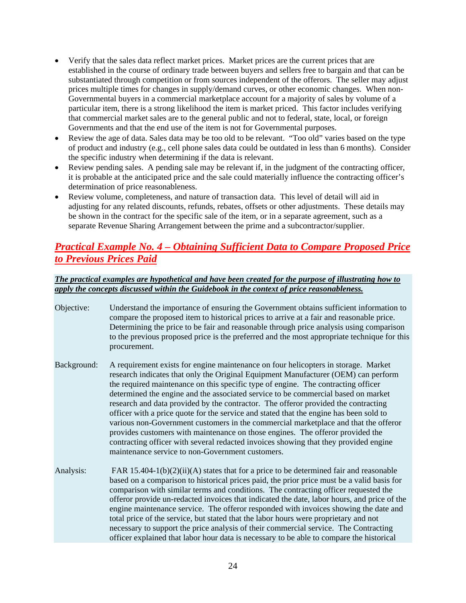- Verify that the sales data reflect market prices. Market prices are the current prices that are established in the course of ordinary trade between buyers and sellers free to bargain and that can be substantiated through competition or from sources independent of the offerors. The seller may adjust prices multiple times for changes in supply/demand curves, or other economic changes. When non-Governmental buyers in a commercial marketplace account for a majority of sales by volume of a particular item, there is a strong likelihood the item is market priced. This factor includes verifying that commercial market sales are to the general public and not to federal, state, local, or foreign Governments and that the end use of the item is not for Governmental purposes.
- Review the age of data. Sales data may be too old to be relevant. "Too old" varies based on the type of product and industry (e.g., cell phone sales data could be outdated in less than 6 months). Consider the specific industry when determining if the data is relevant.
- Review pending sales. A pending sale may be relevant if, in the judgment of the contracting officer, it is probable at the anticipated price and the sale could materially influence the contracting officer's determination of price reasonableness.
- Review volume, completeness, and nature of transaction data. This level of detail will aid in adjusting for any related discounts, refunds, rebates, offsets or other adjustments. These details may be shown in the contract for the specific sale of the item, or in a separate agreement, such as a separate Revenue Sharing Arrangement between the prime and a subcontractor/supplier.

# *Practical Example No. 4 – Obtaining Sufficient Data to Compare Proposed Price to Previous Prices Paid*

- Objective: Understand the importance of ensuring the Government obtains sufficient information to compare the proposed item to historical prices to arrive at a fair and reasonable price. Determining the price to be fair and reasonable through price analysis using comparison to the previous proposed price is the preferred and the most appropriate technique for this procurement.
- Background: A requirement exists for engine maintenance on four helicopters in storage. Market research indicates that only the Original Equipment Manufacturer (OEM) can perform the required maintenance on this specific type of engine. The contracting officer determined the engine and the associated service to be commercial based on market research and data provided by the contractor. The offeror provided the contracting officer with a price quote for the service and stated that the engine has been sold to various non-Government customers in the commercial marketplace and that the offeror provides customers with maintenance on those engines. The offeror provided the contracting officer with several redacted invoices showing that they provided engine maintenance service to non-Government customers.
- Analysis: FAR 15.404-1(b)(2)(ii)(A) states that for a price to be determined fair and reasonable based on a comparison to historical prices paid, the prior price must be a valid basis for comparison with similar terms and conditions. The contracting officer requested the offeror provide un-redacted invoices that indicated the date, labor hours, and price of the engine maintenance service. The offeror responded with invoices showing the date and total price of the service, but stated that the labor hours were proprietary and not necessary to support the price analysis of their commercial service. The Contracting officer explained that labor hour data is necessary to be able to compare the historical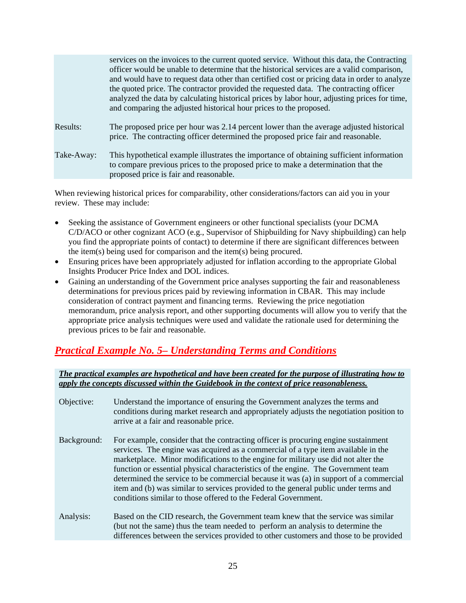|            | services on the invoices to the current quoted service. Without this data, the Contracting<br>officer would be unable to determine that the historical services are a valid comparison,<br>and would have to request data other than certified cost or pricing data in order to analyze<br>the quoted price. The contractor provided the requested data. The contracting officer<br>analyzed the data by calculating historical prices by labor hour, adjusting prices for time,<br>and comparing the adjusted historical hour prices to the proposed. |
|------------|--------------------------------------------------------------------------------------------------------------------------------------------------------------------------------------------------------------------------------------------------------------------------------------------------------------------------------------------------------------------------------------------------------------------------------------------------------------------------------------------------------------------------------------------------------|
| Results:   | The proposed price per hour was 2.14 percent lower than the average adjusted historical<br>price. The contracting officer determined the proposed price fair and reasonable.                                                                                                                                                                                                                                                                                                                                                                           |
| Take-Away: | This hypothetical example illustrates the importance of obtaining sufficient information<br>to compare previous prices to the proposed price to make a determination that the<br>proposed price is fair and reasonable.                                                                                                                                                                                                                                                                                                                                |

When reviewing historical prices for comparability, other considerations/factors can aid you in your review. These may include:

- Seeking the assistance of Government engineers or other functional specialists (your DCMA C/D/ACO or other cognizant ACO (e.g., Supervisor of Shipbuilding for Navy shipbuilding) can help you find the appropriate points of contact) to determine if there are significant differences between the item(s) being used for comparison and the item(s) being procured.
- Ensuring prices have been appropriately adjusted for inflation according to the appropriate Global Insights Producer Price Index and DOL indices.
- Gaining an understanding of the Government price analyses supporting the fair and reasonableness determinations for previous prices paid by reviewing information in CBAR. This may include consideration of contract payment and financing terms. Reviewing the price negotiation memorandum, price analysis report, and other supporting documents will allow you to verify that the appropriate price analysis techniques were used and validate the rationale used for determining the previous prices to be fair and reasonable.

# *Practical Example No. 5– Understanding Terms and Conditions*

| Objective:  | Understand the importance of ensuring the Government analyzes the terms and<br>conditions during market research and appropriately adjusts the negotiation position to<br>arrive at a fair and reasonable price.                                                                                                                                                                                                                                                                                                                                                                                    |
|-------------|-----------------------------------------------------------------------------------------------------------------------------------------------------------------------------------------------------------------------------------------------------------------------------------------------------------------------------------------------------------------------------------------------------------------------------------------------------------------------------------------------------------------------------------------------------------------------------------------------------|
| Background: | For example, consider that the contracting officer is procuring engine sustainment<br>services. The engine was acquired as a commercial of a type item available in the<br>marketplace. Minor modifications to the engine for military use did not alter the<br>function or essential physical characteristics of the engine. The Government team<br>determined the service to be commercial because it was (a) in support of a commercial<br>item and (b) was similar to services provided to the general public under terms and<br>conditions similar to those offered to the Federal Government. |
| Analysis:   | Based on the CID research, the Government team knew that the service was similar<br>(but not the same) thus the team needed to perform an analysis to determine the<br>differences between the services provided to other customers and those to be provided                                                                                                                                                                                                                                                                                                                                        |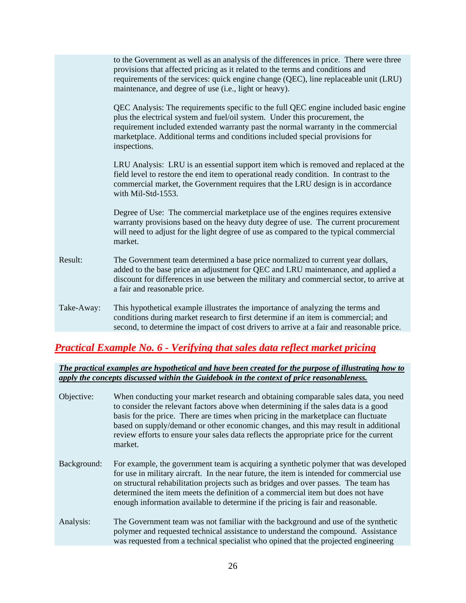|            | to the Government as well as an analysis of the differences in price. There were three<br>provisions that affected pricing as it related to the terms and conditions and<br>requirements of the services: quick engine change (QEC), line replaceable unit (LRU)<br>maintenance, and degree of use (i.e., light or heavy).                               |
|------------|----------------------------------------------------------------------------------------------------------------------------------------------------------------------------------------------------------------------------------------------------------------------------------------------------------------------------------------------------------|
|            | QEC Analysis: The requirements specific to the full QEC engine included basic engine<br>plus the electrical system and fuel/oil system. Under this procurement, the<br>requirement included extended warranty past the normal warranty in the commercial<br>marketplace. Additional terms and conditions included special provisions for<br>inspections. |
|            | LRU Analysis: LRU is an essential support item which is removed and replaced at the<br>field level to restore the end item to operational ready condition. In contrast to the<br>commercial market, the Government requires that the LRU design is in accordance<br>with Mil-Std-1553.                                                                   |
|            | Degree of Use: The commercial marketplace use of the engines requires extensive<br>warranty provisions based on the heavy duty degree of use. The current procurement<br>will need to adjust for the light degree of use as compared to the typical commercial<br>market.                                                                                |
| Result:    | The Government team determined a base price normalized to current year dollars,<br>added to the base price an adjustment for QEC and LRU maintenance, and applied a<br>discount for differences in use between the military and commercial sector, to arrive at<br>a fair and reasonable price.                                                          |
| Take-Away: | This hypothetical example illustrates the importance of analyzing the terms and<br>conditions during market research to first determine if an item is commercial; and<br>second, to determine the impact of cost drivers to arrive at a fair and reasonable price.                                                                                       |

# *Practical Example No. 6 - Verifying that sales data reflect market pricing*

| Objective:  | When conducting your market research and obtaining comparable sales data, you need<br>to consider the relevant factors above when determining if the sales data is a good<br>basis for the price. There are times when pricing in the marketplace can fluctuate<br>based on supply/demand or other economic changes, and this may result in additional<br>review efforts to ensure your sales data reflects the appropriate price for the current<br>market. |
|-------------|--------------------------------------------------------------------------------------------------------------------------------------------------------------------------------------------------------------------------------------------------------------------------------------------------------------------------------------------------------------------------------------------------------------------------------------------------------------|
| Background: | For example, the government team is acquiring a synthetic polymer that was developed<br>for use in military aircraft. In the near future, the item is intended for commercial use<br>on structural rehabilitation projects such as bridges and over passes. The team has<br>determined the item meets the definition of a commercial item but does not have<br>enough information available to determine if the pricing is fair and reasonable.              |
| Analysis:   | The Government team was not familiar with the background and use of the synthetic<br>polymer and requested technical assistance to understand the compound. Assistance<br>was requested from a technical specialist who opined that the projected engineering                                                                                                                                                                                                |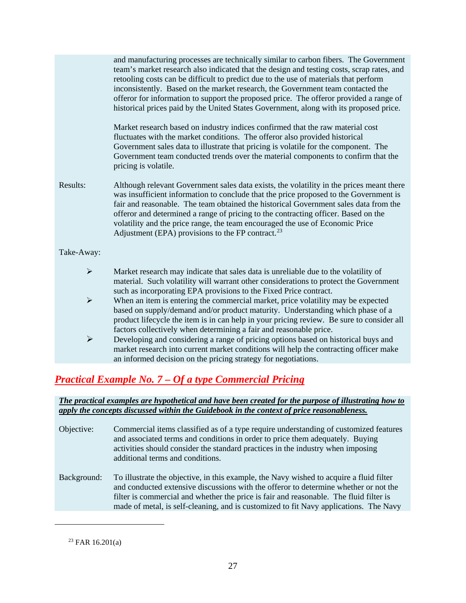|                                                                         | and manufacturing processes are technically similar to carbon fibers. The Government<br>team's market research also indicated that the design and testing costs, scrap rates, and<br>retooling costs can be difficult to predict due to the use of materials that perform<br>inconsistently. Based on the market research, the Government team contacted the<br>offeror for information to support the proposed price. The offeror provided a range of<br>historical prices paid by the United States Government, along with its proposed price.<br>Market research based on industry indices confirmed that the raw material cost<br>fluctuates with the market conditions. The offeror also provided historical<br>Government sales data to illustrate that pricing is volatile for the component. The<br>Government team conducted trends over the material components to confirm that the<br>pricing is volatile. |
|-------------------------------------------------------------------------|-----------------------------------------------------------------------------------------------------------------------------------------------------------------------------------------------------------------------------------------------------------------------------------------------------------------------------------------------------------------------------------------------------------------------------------------------------------------------------------------------------------------------------------------------------------------------------------------------------------------------------------------------------------------------------------------------------------------------------------------------------------------------------------------------------------------------------------------------------------------------------------------------------------------------|
| Results:                                                                | Although relevant Government sales data exists, the volatility in the prices meant there<br>was insufficient information to conclude that the price proposed to the Government is<br>fair and reasonable. The team obtained the historical Government sales data from the<br>offeror and determined a range of pricing to the contracting officer. Based on the<br>volatility and the price range, the team encouraged the use of Economic Price<br>Adjustment (EPA) provisions to the FP contract. $^{23}$                                                                                                                                                                                                                                                                                                                                                                                                           |
| Take-Away:                                                              |                                                                                                                                                                                                                                                                                                                                                                                                                                                                                                                                                                                                                                                                                                                                                                                                                                                                                                                       |
| $\blacktriangleright$<br>$\blacktriangleright$<br>$\blacktriangleright$ | Market research may indicate that sales data is unreliable due to the volatility of<br>material. Such volatility will warrant other considerations to protect the Government<br>such as incorporating EPA provisions to the Fixed Price contract.<br>When an item is entering the commercial market, price volatility may be expected<br>based on supply/demand and/or product maturity. Understanding which phase of a<br>product lifecycle the item is in can help in your pricing review. Be sure to consider all<br>factors collectively when determining a fair and reasonable price.<br>Developing and considering a range of pricing options based on historical buys and<br>market research into current market conditions will help the contracting officer make                                                                                                                                             |
|                                                                         | an informed decision on the pricing strategy for negotiations.                                                                                                                                                                                                                                                                                                                                                                                                                                                                                                                                                                                                                                                                                                                                                                                                                                                        |

# *Practical Example No. 7 – Of a type Commercial Pricing*

#### *The practical examples are hypothetical and have been created for the purpose of illustrating how to apply the concepts discussed within the Guidebook in the context of price reasonableness.*

Objective: Commercial items classified as of a type require understanding of customized features and associated terms and conditions in order to price them adequately. Buying activities should consider the standard practices in the industry when imposing additional terms and conditions. Background: To illustrate the objective, in this example, the Navy wished to acquire a fluid filter and conducted extensive discussions with the offeror to determine whether or not the filter is commercial and whether the price is fair and reasonable. The fluid filter is made of metal, is self-cleaning, and is customized to fit Navy applications. The Navy

 $23$  FAR 16.201(a)

<span id="page-27-0"></span> $\overline{a}$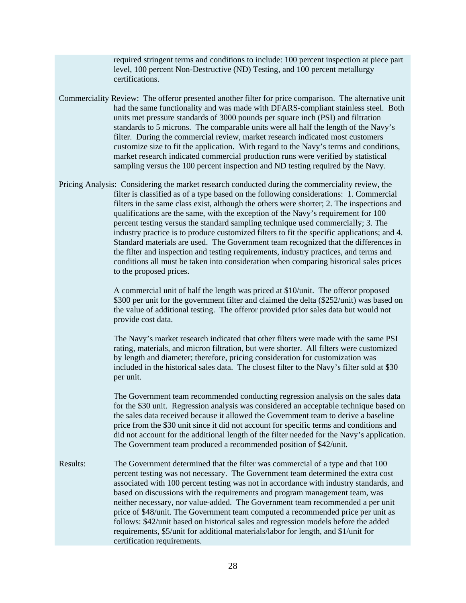required stringent terms and conditions to include: 100 percent inspection at piece part level, 100 percent Non-Destructive (ND) Testing, and 100 percent metallurgy certifications.

- Commerciality Review: The offeror presented another filter for price comparison. The alternative unit had the same functionality and was made with DFARS-compliant stainless steel. Both units met pressure standards of 3000 pounds per square inch (PSI) and filtration standards to 5 microns. The comparable units were all half the length of the Navy's filter. During the commercial review, market research indicated most customers customize size to fit the application. With regard to the Navy's terms and conditions, market research indicated commercial production runs were verified by statistical sampling versus the 100 percent inspection and ND testing required by the Navy.
- Pricing Analysis: Considering the market research conducted during the commerciality review, the filter is classified as of a type based on the following considerations: 1. Commercial filters in the same class exist, although the others were shorter; 2. The inspections and qualifications are the same, with the exception of the Navy's requirement for 100 percent testing versus the standard sampling technique used commercially; 3. The industry practice is to produce customized filters to fit the specific applications; and 4. Standard materials are used. The Government team recognized that the differences in the filter and inspection and testing requirements, industry practices, and terms and conditions all must be taken into consideration when comparing historical sales prices to the proposed prices.

A commercial unit of half the length was priced at \$10/unit. The offeror proposed \$300 per unit for the government filter and claimed the delta (\$252/unit) was based on the value of additional testing. The offeror provided prior sales data but would not provide cost data.

The Navy's market research indicated that other filters were made with the same PSI rating, materials, and micron filtration, but were shorter. All filters were customized by length and diameter; therefore, pricing consideration for customization was included in the historical sales data. The closest filter to the Navy's filter sold at \$30 per unit.

The Government team recommended conducting regression analysis on the sales data for the \$30 unit. Regression analysis was considered an acceptable technique based on the sales data received because it allowed the Government team to derive a baseline price from the \$30 unit since it did not account for specific terms and conditions and did not account for the additional length of the filter needed for the Navy's application. The Government team produced a recommended position of \$42/unit.

Results: The Government determined that the filter was commercial of a type and that 100 percent testing was not necessary. The Government team determined the extra cost associated with 100 percent testing was not in accordance with industry standards, and based on discussions with the requirements and program management team, was neither necessary, nor value-added. The Government team recommended a per unit price of \$48/unit. The Government team computed a recommended price per unit as follows: \$42/unit based on historical sales and regression models before the added requirements, \$5/unit for additional materials/labor for length, and \$1/unit for certification requirements.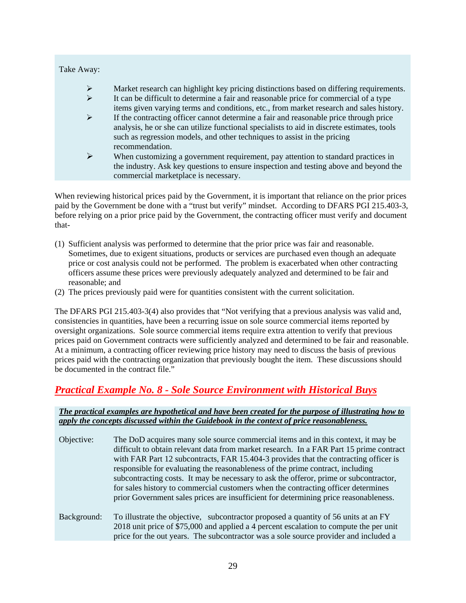| Take Away: |                                                                                                                                                                                                                    |
|------------|--------------------------------------------------------------------------------------------------------------------------------------------------------------------------------------------------------------------|
| ➤          | Market research can highlight key pricing distinctions based on differing requirements.                                                                                                                            |
| ≻          | It can be difficult to determine a fair and reasonable price for commercial of a type<br>items given varying terms and conditions, etc., from market research and sales history.                                   |
| ⋗          | If the contracting officer cannot determine a fair and reasonable price through price<br>analysis, he or she can utilize functional specialists to aid in discrete estimates, tools                                |
|            | such as regression models, and other techniques to assist in the pricing<br>recommendation.                                                                                                                        |
| ⋗          | When customizing a government requirement, pay attention to standard practices in<br>the industry. Ask key questions to ensure inspection and testing above and beyond the<br>commercial marketplace is necessary. |

When reviewing historical prices paid by the Government, it is important that reliance on the prior prices paid by the Government be done with a "trust but verify" mindset. According to DFARS PGI 215.403-3, before relying on a prior price paid by the Government, the contracting officer must verify and document that-

- (1) Sufficient analysis was performed to determine that the prior price was fair and reasonable. Sometimes, due to exigent situations, products or services are purchased even though an adequate price or cost analysis could not be performed. The problem is exacerbated when other contracting officers assume these prices were previously adequately analyzed and determined to be fair and reasonable; and
- (2) The prices previously paid were for quantities consistent with the current solicitation.

The DFARS PGI 215.403-3(4) also provides that "Not verifying that a previous analysis was valid and, consistencies in quantities, have been a recurring issue on sole source commercial items reported by oversight organizations. Sole source commercial items require extra attention to verify that previous prices paid on Government contracts were sufficiently analyzed and determined to be fair and reasonable. At a minimum, a contracting officer reviewing price history may need to discuss the basis of previous prices paid with the contracting organization that previously bought the item. These discussions should be documented in the contract file."

### *Practical Example No. 8 - Sole Source Environment with Historical Buys*

#### *The practical examples are hypothetical and have been created for the purpose of illustrating how to apply the concepts discussed within the Guidebook in the context of price reasonableness.*

| Objective:  | The DoD acquires many sole source commercial items and in this context, it may be<br>difficult to obtain relevant data from market research. In a FAR Part 15 prime contract<br>with FAR Part 12 subcontracts, FAR 15.404-3 provides that the contracting officer is<br>responsible for evaluating the reasonableness of the prime contract, including<br>subcontracting costs. It may be necessary to ask the offeror, prime or subcontractor,<br>for sales history to commercial customers when the contracting officer determines<br>prior Government sales prices are insufficient for determining price reasonableness. |
|-------------|------------------------------------------------------------------------------------------------------------------------------------------------------------------------------------------------------------------------------------------------------------------------------------------------------------------------------------------------------------------------------------------------------------------------------------------------------------------------------------------------------------------------------------------------------------------------------------------------------------------------------|
| Background: | To illustrate the objective, subcontractor proposed a quantity of 56 units at an FY<br>2018 unit price of \$75,000 and applied a 4 percent escalation to compute the per unit                                                                                                                                                                                                                                                                                                                                                                                                                                                |

price for the out years. The subcontractor was a sole source provider and included a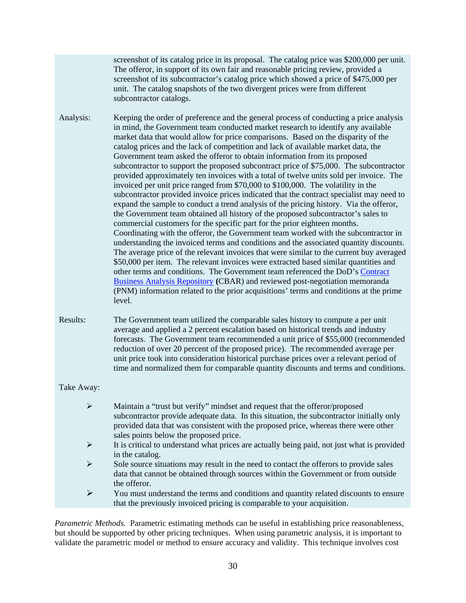screenshot of its catalog price in its proposal. The catalog price was \$200,000 per unit. The offeror, in support of its own fair and reasonable pricing review, provided a screenshot of its subcontractor's catalog price which showed a price of \$475,000 per unit. The catalog snapshots of the two divergent prices were from different subcontractor catalogs.

Analysis: Keeping the order of preference and the general process of conducting a price analysis in mind, the Government team conducted market research to identify any available market data that would allow for price comparisons. Based on the disparity of the catalog prices and the lack of competition and lack of available market data, the Government team asked the offeror to obtain information from its proposed subcontractor to support the proposed subcontract price of \$75,000. The subcontractor provided approximately ten invoices with a total of twelve units sold per invoice. The invoiced per unit price ranged from \$70,000 to \$100,000. The volatility in the subcontractor provided invoice prices indicated that the contract specialist may need to expand the sample to conduct a trend analysis of the pricing history. Via the offeror, the Government team obtained all history of the proposed subcontractor's sales to commercial customers for the specific part for the prior eighteen months. Coordinating with the offeror, the Government team worked with the subcontractor in understanding the invoiced terms and conditions and the associated quantity discounts. The average price of the relevant invoices that were similar to the current buy averaged \$50,000 per item. The relevant invoices were extracted based similar quantities and other terms and conditions. The Government team referenced the DoD's [Contract](http://www.acq.osd.mil/dpap/policy/policyvault/USA004237-13-DPAP.pdf)  [Business Analysis Repository](http://www.acq.osd.mil/dpap/policy/policyvault/USA004237-13-DPAP.pdf) **(**CBAR) and reviewed post-negotiation memoranda (PNM) information related to the prior acquisitions' terms and conditions at the prime level.

Results: The Government team utilized the comparable sales history to compute a per unit average and applied a 2 percent escalation based on historical trends and industry forecasts. The Government team recommended a unit price of \$55,000 (recommended reduction of over 20 percent of the proposed price). The recommended average per unit price took into consideration historical purchase prices over a relevant period of time and normalized them for comparable quantity discounts and terms and conditions.

#### Take Away:

| ➤ | Maintain a "trust but verify" mindset and request that the offeror/proposed<br>subcontractor provide adequate data. In this situation, the subcontractor initially only<br>provided data that was consistent with the proposed price, whereas there were other<br>sales points below the proposed price. |
|---|----------------------------------------------------------------------------------------------------------------------------------------------------------------------------------------------------------------------------------------------------------------------------------------------------------|
| ➤ | It is critical to understand what prices are actually being paid, not just what is provided<br>in the catalog.                                                                                                                                                                                           |
| ⋗ |                                                                                                                                                                                                                                                                                                          |
|   | Sole source situations may result in the need to contact the offerors to provide sales<br>data that cannot be obtained through sources within the Government or from outside<br>the offeror.                                                                                                             |
| ⋗ | You must understand the terms and conditions and quantity related discounts to ensure<br>that the previously invoiced pricing is comparable to your acquisition.                                                                                                                                         |

*Parametric Methods.* Parametric estimating methods can be useful in establishing price reasonableness, but should be supported by other pricing techniques. When using parametric analysis, it is important to validate the parametric model or method to ensure accuracy and validity. This technique involves cost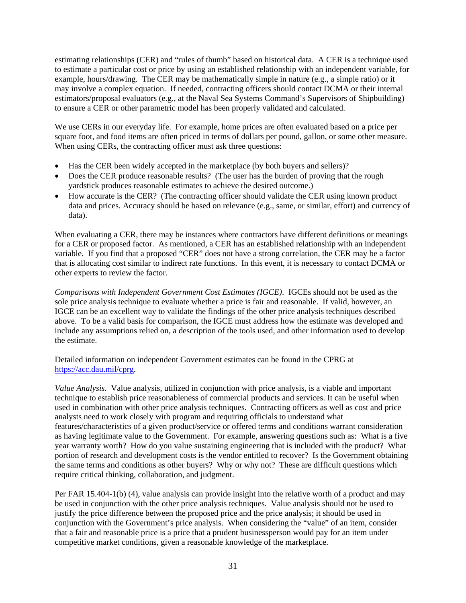estimating relationships (CER) and "rules of thumb" based on historical data. A CER is a technique used to estimate a particular cost or price by using an established relationship with an independent variable, for example, hours/drawing. The CER may be mathematically simple in nature (e.g., a simple ratio) or it may involve a complex equation. If needed, contracting officers should contact DCMA or their internal estimators/proposal evaluators (e.g., at the Naval Sea Systems Command's Supervisors of Shipbuilding) to ensure a CER or other parametric model has been properly validated and calculated.

We use CERs in our everyday life. For example, home prices are often evaluated based on a price per square foot, and food items are often priced in terms of dollars per pound, gallon, or some other measure. When using CERs, the contracting officer must ask three questions:

- Has the CER been widely accepted in the marketplace (by both buyers and sellers)?
- Does the CER produce reasonable results? (The user has the burden of proving that the rough yardstick produces reasonable estimates to achieve the desired outcome.)
- How accurate is the CER? (The contracting officer should validate the CER using known product data and prices. Accuracy should be based on relevance (e.g., same, or similar, effort) and currency of data).

When evaluating a CER, there may be instances where contractors have different definitions or meanings for a CER or proposed factor. As mentioned, a CER has an established relationship with an independent variable. If you find that a proposed "CER" does not have a strong correlation, the CER may be a factor that is allocating cost similar to indirect rate functions. In this event, it is necessary to contact DCMA or other experts to review the factor.

*Comparisons with Independent Government Cost Estimates (IGCE)*. IGCEs should not be used as the sole price analysis technique to evaluate whether a price is fair and reasonable. If valid, however, an IGCE can be an excellent way to validate the findings of the other price analysis techniques described above. To be a valid basis for comparison, the IGCE must address how the estimate was developed and include any assumptions relied on, a description of the tools used, and other information used to develop the estimate.

Detailed information on independent Government estimates can be found in the CPRG at [https://acc.dau.mil/cprg.](https://acc.dau.mil/cprg)

*Value Analysis.* Value analysis, utilized in conjunction with price analysis, is a viable and important technique to establish price reasonableness of commercial products and services. It can be useful when used in combination with other price analysis techniques. Contracting officers as well as cost and price analysts need to work closely with program and requiring officials to understand what features/characteristics of a given product/service or offered terms and conditions warrant consideration as having legitimate value to the Government. For example, answering questions such as: What is a five year warranty worth? How do you value sustaining engineering that is included with the product? What portion of research and development costs is the vendor entitled to recover? Is the Government obtaining the same terms and conditions as other buyers? Why or why not? These are difficult questions which require critical thinking, collaboration, and judgment.

Per FAR 15.404-1(b) (4), value analysis can provide insight into the relative worth of a product and may be used in conjunction with the other price analysis techniques. Value analysis should not be used to justify the price difference between the proposed price and the price analysis; it should be used in conjunction with the Government's price analysis. When considering the "value" of an item, consider that a fair and reasonable price is a price that a prudent businessperson would pay for an item under competitive market conditions, given a reasonable knowledge of the marketplace.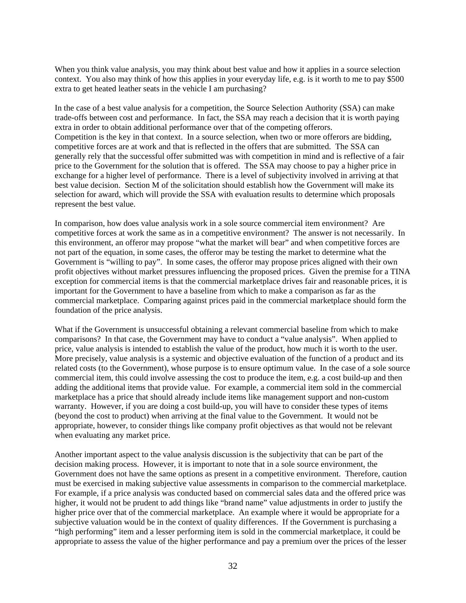When you think value analysis, you may think about best value and how it applies in a source selection context. You also may think of how this applies in your everyday life, e.g. is it worth to me to pay \$500 extra to get heated leather seats in the vehicle I am purchasing?

In the case of a best value analysis for a competition, the Source Selection Authority (SSA) can make trade-offs between cost and performance. In fact, the SSA may reach a decision that it is worth paying extra in order to obtain additional performance over that of the competing offerors. Competition is the key in that context. In a source selection, when two or more offerors are bidding, competitive forces are at work and that is reflected in the offers that are submitted. The SSA can generally rely that the successful offer submitted was with competition in mind and is reflective of a fair price to the Government for the solution that is offered. The SSA may choose to pay a higher price in exchange for a higher level of performance. There is a level of subjectivity involved in arriving at that best value decision. Section M of the solicitation should establish how the Government will make its selection for award, which will provide the SSA with evaluation results to determine which proposals represent the best value.

In comparison, how does value analysis work in a sole source commercial item environment? Are competitive forces at work the same as in a competitive environment? The answer is not necessarily. In this environment, an offeror may propose "what the market will bear" and when competitive forces are not part of the equation, in some cases, the offeror may be testing the market to determine what the Government is "willing to pay". In some cases, the offeror may propose prices aligned with their own profit objectives without market pressures influencing the proposed prices. Given the premise for a TINA exception for commercial items is that the commercial marketplace drives fair and reasonable prices, it is important for the Government to have a baseline from which to make a comparison as far as the commercial marketplace. Comparing against prices paid in the commercial marketplace should form the foundation of the price analysis.

What if the Government is unsuccessful obtaining a relevant commercial baseline from which to make comparisons? In that case, the Government may have to conduct a "value analysis". When applied to price, value analysis is intended to establish the value of the product, how much it is worth to the user. More precisely, value analysis is a systemic and objective evaluation of the function of a product and its related costs (to the Government), whose purpose is to ensure optimum value. In the case of a sole source commercial item, this could involve assessing the cost to produce the item, e.g. a cost build-up and then adding the additional items that provide value. For example, a commercial item sold in the commercial marketplace has a price that should already include items like management support and non-custom warranty. However, if you are doing a cost build-up, you will have to consider these types of items (beyond the cost to product) when arriving at the final value to the Government. It would not be appropriate, however, to consider things like company profit objectives as that would not be relevant when evaluating any market price.

Another important aspect to the value analysis discussion is the subjectivity that can be part of the decision making process. However, it is important to note that in a sole source environment, the Government does not have the same options as present in a competitive environment. Therefore, caution must be exercised in making subjective value assessments in comparison to the commercial marketplace. For example, if a price analysis was conducted based on commercial sales data and the offered price was higher, it would not be prudent to add things like "brand name" value adjustments in order to justify the higher price over that of the commercial marketplace. An example where it would be appropriate for a subjective valuation would be in the context of quality differences. If the Government is purchasing a "high performing" item and a lesser performing item is sold in the commercial marketplace, it could be appropriate to assess the value of the higher performance and pay a premium over the prices of the lesser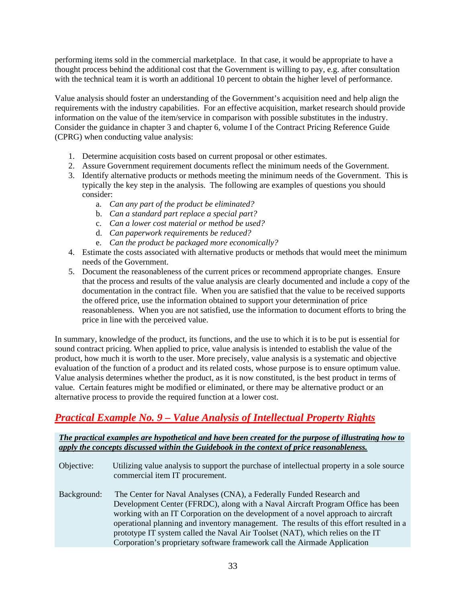performing items sold in the commercial marketplace. In that case, it would be appropriate to have a thought process behind the additional cost that the Government is willing to pay, e.g. after consultation with the technical team it is worth an additional 10 percent to obtain the higher level of performance.

Value analysis should foster an understanding of the Government's acquisition need and help align the requirements with the industry capabilities. For an effective acquisition, market research should provide information on the value of the item/service in comparison with possible substitutes in the industry. Consider the guidance in chapter 3 and chapter 6, volume I of the Contract Pricing Reference Guide (CPRG) when conducting value analysis:

- 1. Determine acquisition costs based on current proposal or other estimates.
- 2. Assure Government requirement documents reflect the minimum needs of the Government.
- 3. Identify alternative products or methods meeting the minimum needs of the Government. This is typically the key step in the analysis. The following are examples of questions you should consider:
	- a. *Can any part of the product be eliminated?*
	- b. *Can a standard part replace a special part?*
	- c. *Can a lower cost material or method be used?*
	- d. *Can paperwork requirements be reduced?*
	- e. *Can the product be packaged more economically?*
- 4. Estimate the costs associated with alternative products or methods that would meet the minimum needs of the Government.
- 5. Document the reasonableness of the current prices or recommend appropriate changes. Ensure that the process and results of the value analysis are clearly documented and include a copy of the documentation in the contract file. When you are satisfied that the value to be received supports the offered price, use the information obtained to support your determination of price reasonableness. When you are not satisfied, use the information to document efforts to bring the price in line with the perceived value.

In summary, knowledge of the product, its functions, and the use to which it is to be put is essential for sound contract pricing. When applied to price, value analysis is intended to establish the value of the product, how much it is worth to the user. More precisely, value analysis is a systematic and objective evaluation of the function of a product and its related costs, whose purpose is to ensure optimum value. Value analysis determines whether the product, as it is now constituted, is the best product in terms of value. Certain features might be modified or eliminated, or there may be alternative product or an alternative process to provide the required function at a lower cost.

# *Practical Example No. 9 – Value Analysis of Intellectual Property Rights*

#### *The practical examples are hypothetical and have been created for the purpose of illustrating how to apply the concepts discussed within the Guidebook in the context of price reasonableness.*

Objective: Utilizing value analysis to support the purchase of intellectual property in a sole source commercial item IT procurement. Background: The Center for Naval Analyses (CNA), a Federally Funded Research and Development Center (FFRDC), along with a Naval Aircraft Program Office has been working with an IT Corporation on the development of a novel approach to aircraft operational planning and inventory management. The results of this effort resulted in a prototype IT system called the Naval Air Toolset (NAT), which relies on the IT Corporation's proprietary software framework call the Airmade Application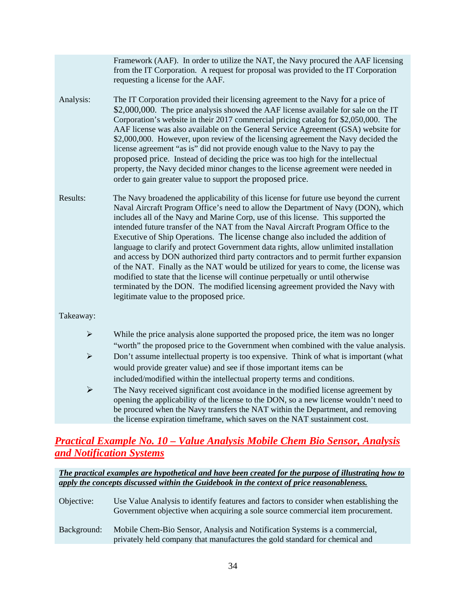Framework (AAF). In order to utilize the NAT, the Navy procured the AAF licensing from the IT Corporation. A request for proposal was provided to the IT Corporation requesting a license for the AAF.

- Analysis: The IT Corporation provided their licensing agreement to the Navy for a price of \$2,000,000. The price analysis showed the AAF license available for sale on the IT Corporation's website in their 2017 commercial pricing catalog for \$2,050,000. The AAF license was also available on the General Service Agreement (GSA) website for \$2,000,000. However, upon review of the licensing agreement the Navy decided the license agreement "as is" did not provide enough value to the Navy to pay the proposed price. Instead of deciding the price was too high for the intellectual property, the Navy decided minor changes to the license agreement were needed in order to gain greater value to support the proposed price.
- Results: The Navy broadened the applicability of this license for future use beyond the current Naval Aircraft Program Office's need to allow the Department of Navy (DON), which includes all of the Navy and Marine Corp, use of this license. This supported the intended future transfer of the NAT from the Naval Aircraft Program Office to the Executive of Ship Operations. The license change also included the addition of language to clarify and protect Government data rights, allow unlimited installation and access by DON authorized third party contractors and to permit further expansion of the NAT. Finally as the NAT would be utilized for years to come, the license was modified to state that the license will continue perpetually or until otherwise terminated by the DON. The modified licensing agreement provided the Navy with legitimate value to the proposed price.

#### Takeaway:

- $\triangleright$  While the price analysis alone supported the proposed price, the item was no longer "worth" the proposed price to the Government when combined with the value analysis.
- $\triangleright$  Don't assume intellectual property is too expensive. Think of what is important (what would provide greater value) and see if those important items can be included/modified within the intellectual property terms and conditions.
- $\triangleright$  The Navy received significant cost avoidance in the modified license agreement by opening the applicability of the license to the DON, so a new license wouldn't need to be procured when the Navy transfers the NAT within the Department, and removing the license expiration timeframe, which saves on the NAT sustainment cost.

### *Practical Example No. 10 – Value Analysis Mobile Chem Bio Sensor, Analysis and Notification Systems*

| Objective:  | Use Value Analysis to identify features and factors to consider when establishing the<br>Government objective when acquiring a sole source commercial item procurement. |
|-------------|-------------------------------------------------------------------------------------------------------------------------------------------------------------------------|
| Background: | Mobile Chem-Bio Sensor, Analysis and Notification Systems is a commercial,<br>privately held company that manufactures the gold standard for chemical and               |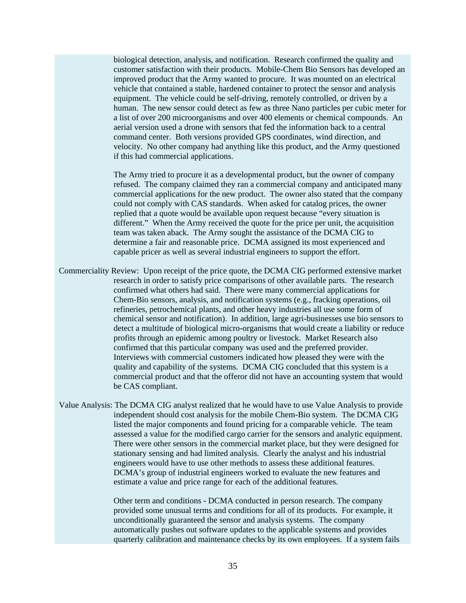biological detection, analysis, and notification. Research confirmed the quality and customer satisfaction with their products. Mobile-Chem Bio Sensors has developed an improved product that the Army wanted to procure. It was mounted on an electrical vehicle that contained a stable, hardened container to protect the sensor and analysis equipment. The vehicle could be self-driving, remotely controlled, or driven by a human. The new sensor could detect as few as three Nano particles per cubic meter for a list of over 200 microorganisms and over 400 elements or chemical compounds. An aerial version used a drone with sensors that fed the information back to a central command center. Both versions provided GPS coordinates, wind direction, and velocity. No other company had anything like this product, and the Army questioned if this had commercial applications.

The Army tried to procure it as a developmental product, but the owner of company refused. The company claimed they ran a commercial company and anticipated many commercial applications for the new product. The owner also stated that the company could not comply with CAS standards. When asked for catalog prices, the owner replied that a quote would be available upon request because "every situation is different." When the Army received the quote for the price per unit, the acquisition team was taken aback. The Army sought the assistance of the DCMA CIG to determine a fair and reasonable price. DCMA assigned its most experienced and capable pricer as well as several industrial engineers to support the effort.

- Commerciality Review: Upon receipt of the price quote, the DCMA CIG performed extensive market research in order to satisfy price comparisons of other available parts. The research confirmed what others had said. There were many commercial applications for Chem-Bio sensors, analysis, and notification systems (e.g., fracking operations, oil refineries, petrochemical plants, and other heavy industries all use some form of chemical sensor and notification). In addition, large agri-businesses use bio sensors to detect a multitude of biological micro-organisms that would create a liability or reduce profits through an epidemic among poultry or livestock. Market Research also confirmed that this particular company was used and the preferred provider. Interviews with commercial customers indicated how pleased they were with the quality and capability of the systems. DCMA CIG concluded that this system is a commercial product and that the offeror did not have an accounting system that would be CAS compliant.
- Value Analysis: The DCMA CIG analyst realized that he would have to use Value Analysis to provide independent should cost analysis for the mobile Chem-Bio system. The DCMA CIG listed the major components and found pricing for a comparable vehicle. The team assessed a value for the modified cargo carrier for the sensors and analytic equipment. There were other sensors in the commercial market place, but they were designed for stationary sensing and had limited analysis. Clearly the analyst and his industrial engineers would have to use other methods to assess these additional features. DCMA's group of industrial engineers worked to evaluate the new features and estimate a value and price range for each of the additional features.

Other term and conditions - DCMA conducted in person research. The company provided some unusual terms and conditions for all of its products. For example, it unconditionally guaranteed the sensor and analysis systems. The company automatically pushes out software updates to the applicable systems and provides quarterly calibration and maintenance checks by its own employees. If a system fails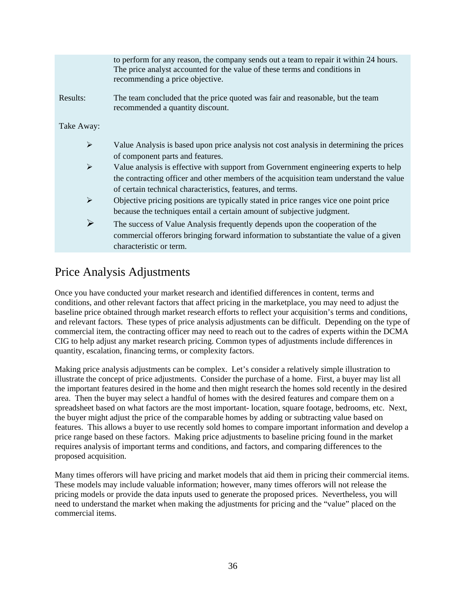|                       | to perform for any reason, the company sends out a team to repair it within 24 hours.<br>The price analyst accounted for the value of these terms and conditions in<br>recommending a price objective.                                       |
|-----------------------|----------------------------------------------------------------------------------------------------------------------------------------------------------------------------------------------------------------------------------------------|
| Results:              | The team concluded that the price quoted was fair and reasonable, but the team<br>recommended a quantity discount.                                                                                                                           |
| Take Away:            |                                                                                                                                                                                                                                              |
| $\blacktriangleright$ | Value Analysis is based upon price analysis not cost analysis in determining the prices<br>of component parts and features.                                                                                                                  |
| $\blacktriangleright$ | Value analysis is effective with support from Government engineering experts to help<br>the contracting officer and other members of the acquisition team understand the value<br>of certain technical characteristics, features, and terms. |
| $\blacktriangleright$ | Objective pricing positions are typically stated in price ranges vice one point price<br>because the techniques entail a certain amount of subjective judgment.                                                                              |
| $\blacktriangleright$ | The success of Value Analysis frequently depends upon the cooperation of the<br>commercial offerors bringing forward information to substantiate the value of a given<br>characteristic or term.                                             |
|                       |                                                                                                                                                                                                                                              |

# <span id="page-36-0"></span>Price Analysis Adjustments

Once you have conducted your market research and identified differences in content, terms and conditions, and other relevant factors that affect pricing in the marketplace, you may need to adjust the baseline price obtained through market research efforts to reflect your acquisition's terms and conditions, and relevant factors. These types of price analysis adjustments can be difficult. Depending on the type of commercial item, the contracting officer may need to reach out to the cadres of experts within the DCMA CIG to help adjust any market research pricing. Common types of adjustments include differences in quantity, escalation, financing terms, or complexity factors.

Making price analysis adjustments can be complex. Let's consider a relatively simple illustration to illustrate the concept of price adjustments. Consider the purchase of a home. First, a buyer may list all the important features desired in the home and then might research the homes sold recently in the desired area. Then the buyer may select a handful of homes with the desired features and compare them on a spreadsheet based on what factors are the most important- location, square footage, bedrooms, etc. Next, the buyer might adjust the price of the comparable homes by adding or subtracting value based on features. This allows a buyer to use recently sold homes to compare important information and develop a price range based on these factors. Making price adjustments to baseline pricing found in the market requires analysis of important terms and conditions, and factors, and comparing differences to the proposed acquisition.

Many times offerors will have pricing and market models that aid them in pricing their commercial items. These models may include valuable information; however, many times offerors will not release the pricing models or provide the data inputs used to generate the proposed prices. Nevertheless, you will need to understand the market when making the adjustments for pricing and the "value" placed on the commercial items.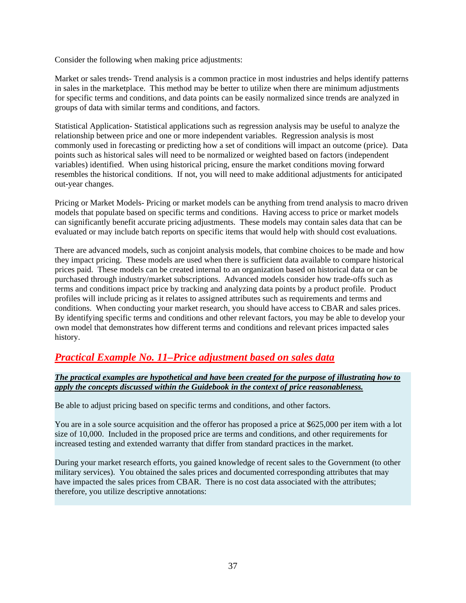Consider the following when making price adjustments:

Market or sales trends- Trend analysis is a common practice in most industries and helps identify patterns in sales in the marketplace. This method may be better to utilize when there are minimum adjustments for specific terms and conditions, and data points can be easily normalized since trends are analyzed in groups of data with similar terms and conditions, and factors.

Statistical Application- Statistical applications such as regression analysis may be useful to analyze the relationship between price and one or more independent variables. Regression analysis is most commonly used in forecasting or predicting how a set of conditions will impact an outcome (price). Data points such as historical sales will need to be normalized or weighted based on factors (independent variables) identified. When using historical pricing, ensure the market conditions moving forward resembles the historical conditions. If not, you will need to make additional adjustments for anticipated out-year changes.

Pricing or Market Models- Pricing or market models can be anything from trend analysis to macro driven models that populate based on specific terms and conditions. Having access to price or market models can significantly benefit accurate pricing adjustments. These models may contain sales data that can be evaluated or may include batch reports on specific items that would help with should cost evaluations.

There are advanced models, such as conjoint analysis models, that combine choices to be made and how they impact pricing. These models are used when there is sufficient data available to compare historical prices paid. These models can be created internal to an organization based on historical data or can be purchased through industry/market subscriptions. Advanced models consider how trade-offs such as terms and conditions impact price by tracking and analyzing data points by a product profile. Product profiles will include pricing as it relates to assigned attributes such as requirements and terms and conditions. When conducting your market research, you should have access to CBAR and sales prices. By identifying specific terms and conditions and other relevant factors, you may be able to develop your own model that demonstrates how different terms and conditions and relevant prices impacted sales history.

### *Practical Example No. 11–Price adjustment based on sales data*

#### *The practical examples are hypothetical and have been created for the purpose of illustrating how to apply the concepts discussed within the Guidebook in the context of price reasonableness.*

Be able to adjust pricing based on specific terms and conditions, and other factors.

You are in a sole source acquisition and the offeror has proposed a price at \$625,000 per item with a lot size of 10,000. Included in the proposed price are terms and conditions, and other requirements for increased testing and extended warranty that differ from standard practices in the market.

During your market research efforts, you gained knowledge of recent sales to the Government (to other military services). You obtained the sales prices and documented corresponding attributes that may have impacted the sales prices from CBAR. There is no cost data associated with the attributes; therefore, you utilize descriptive annotations: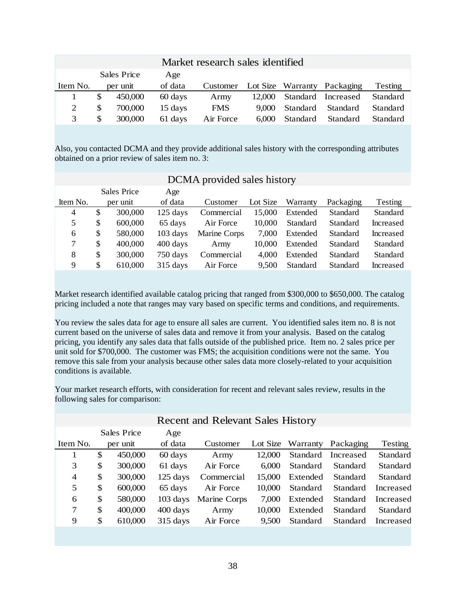|     |         | Age                     |            |        |          |                                  |                                                   |
|-----|---------|-------------------------|------------|--------|----------|----------------------------------|---------------------------------------------------|
|     |         | of data                 | Customer   |        |          |                                  | Testing                                           |
| S   | 450,000 | 60 days                 | Army       | 12,000 |          |                                  | Standard                                          |
| \$. | 700,000 | 15 days                 | <b>FMS</b> | 9.000  | Standard | Standard                         | Standard                                          |
| S   | 300,000 | 61 days                 | Air Force  | 6.000  | Standard | Standard                         | Standard                                          |
|     |         | Sales Price<br>per unit |            |        |          | Market research sales identified | Lot Size Warranty Packaging<br>Standard Increased |

Also, you contacted DCMA and they provide additional sales history with the corresponding attributes obtained on a prior review of sales item no. 3:

|                | DUMA provided sales history |          |            |              |          |          |           |           |
|----------------|-----------------------------|----------|------------|--------------|----------|----------|-----------|-----------|
|                | Sales Price                 |          | Age        |              |          |          |           |           |
| Item No.       |                             | per unit | of data    | Customer     | Lot Size | Warranty | Packaging | Testing   |
| $\overline{4}$ | \$                          | 300,000  | $125$ days | Commercial   | 15,000   | Extended | Standard  | Standard  |
| 5              | \$                          | 600,000  | 65 days    | Air Force    | 10,000   | Standard | Standard  | Increased |
| 6              | \$                          | 580,000  | $103$ days | Marine Corps | 7,000    | Extended | Standard  | Increased |
| 7              | \$                          | 400,000  | 400 days   | Army         | 10,000   | Extended | Standard  | Standard  |
| 8              | \$                          | 300,000  | 750 days   | Commercial   | 4,000    | Extended | Standard  | Standard  |
| 9              | S                           | 610,000  | 315 days   | Air Force    | 9,500    | Standard | Standard  | Increased |

### DCMA provided sales history

Market research identified available catalog pricing that ranged from \$300,000 to \$650,000. The catalog pricing included a note that ranges may vary based on specific terms and conditions, and requirements.

You review the sales data for age to ensure all sales are current. You identified sales item no. 8 is not current based on the universe of sales data and remove it from your analysis. Based on the catalog pricing, you identify any sales data that falls outside of the published price. Item no. 2 sales price per unit sold for \$700,000. The customer was FMS; the acquisition conditions were not the same. You remove this sale from your analysis because other sales data more closely-related to your acquisition conditions is available.

Your market research efforts, with consideration for recent and relevant sales review, results in the following sales for comparison:

| <b>Recent and Relevant Sales History</b> |    |             |                    |              |        |          |                             |           |
|------------------------------------------|----|-------------|--------------------|--------------|--------|----------|-----------------------------|-----------|
|                                          |    | Sales Price | Age                |              |        |          |                             |           |
| Item No.                                 |    | per unit    | of data            | Customer     |        |          | Lot Size Warranty Packaging | Testing   |
|                                          | \$ | 450,000     | 60 days            | Army         | 12,000 |          | Standard Increased          | Standard  |
| 3                                        | \$ | 300,000     | 61 days            | Air Force    | 6.000  | Standard | Standard                    | Standard  |
| $\overline{4}$                           | \$ | 300,000     | $125$ days         | Commercial   | 15,000 | Extended | Standard                    | Standard  |
| 5                                        | \$ | 600,000     | 65 days            | Air Force    | 10,000 | Standard | Standard                    | Increased |
| 6                                        | \$ | 580,000     | $103 \text{ days}$ | Marine Corps | 7.000  | Extended | Standard                    | Increased |
| 7                                        | \$ | 400,000     | 400 days           | Army         | 10,000 | Extended | Standard                    | Standard  |
| 9                                        | \$ | 610,000     | $315$ days         | Air Force    | 9.500  | Standard | Standard                    | Increased |
|                                          |    |             |                    |              |        |          |                             |           |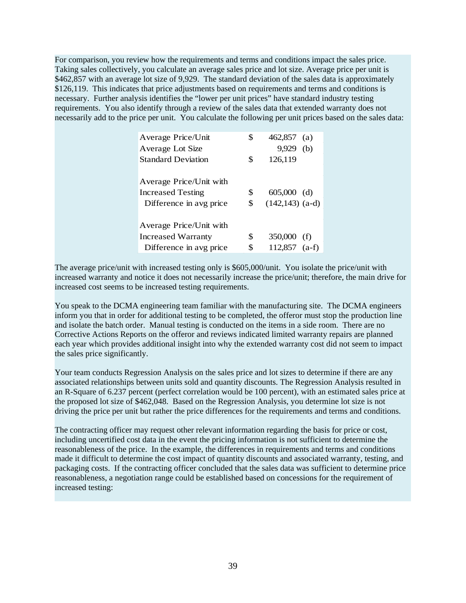For comparison, you review how the requirements and terms and conditions impact the sales price. Taking sales collectively, you calculate an average sales price and lot size. Average price per unit is \$462,857 with an average lot size of 9,929. The standard deviation of the sales data is approximately \$126,119. This indicates that price adjustments based on requirements and terms and conditions is necessary. Further analysis identifies the "lower per unit prices" have standard industry testing requirements. You also identify through a review of the sales data that extended warranty does not necessarily add to the price per unit. You calculate the following per unit prices based on the sales data:

| Average Price/Unit        | \$<br>462,857<br>(a)     |
|---------------------------|--------------------------|
| Average Lot Size          | 9,929<br>(b)             |
| <b>Standard Deviation</b> | \$<br>126,119            |
|                           |                          |
| Average Price/Unit with   |                          |
| <b>Increased Testing</b>  | \$<br>605,000<br>(d)     |
| Difference in avg price   | \$<br>$(142, 143)$ (a-d) |
|                           |                          |
| Average Price/Unit with   |                          |
| <b>Increased Warranty</b> | \$<br>350,000<br>(f)     |
| Difference in avg price   | \$<br>112,857<br>$(a-f)$ |
|                           |                          |

The average price/unit with increased testing only is \$605,000/unit. You isolate the price/unit with increased warranty and notice it does not necessarily increase the price/unit; therefore, the main drive for increased cost seems to be increased testing requirements.

You speak to the DCMA engineering team familiar with the manufacturing site. The DCMA engineers inform you that in order for additional testing to be completed, the offeror must stop the production line and isolate the batch order. Manual testing is conducted on the items in a side room. There are no Corrective Actions Reports on the offeror and reviews indicated limited warranty repairs are planned each year which provides additional insight into why the extended warranty cost did not seem to impact the sales price significantly.

Your team conducts Regression Analysis on the sales price and lot sizes to determine if there are any associated relationships between units sold and quantity discounts. The Regression Analysis resulted in an R-Square of 6.237 percent (perfect correlation would be 100 percent), with an estimated sales price at the proposed lot size of \$462,048. Based on the Regression Analysis, you determine lot size is not driving the price per unit but rather the price differences for the requirements and terms and conditions.

The contracting officer may request other relevant information regarding the basis for price or cost, including uncertified cost data in the event the pricing information is not sufficient to determine the reasonableness of the price. In the example, the differences in requirements and terms and conditions made it difficult to determine the cost impact of quantity discounts and associated warranty, testing, and packaging costs. If the contracting officer concluded that the sales data was sufficient to determine price reasonableness, a negotiation range could be established based on concessions for the requirement of increased testing: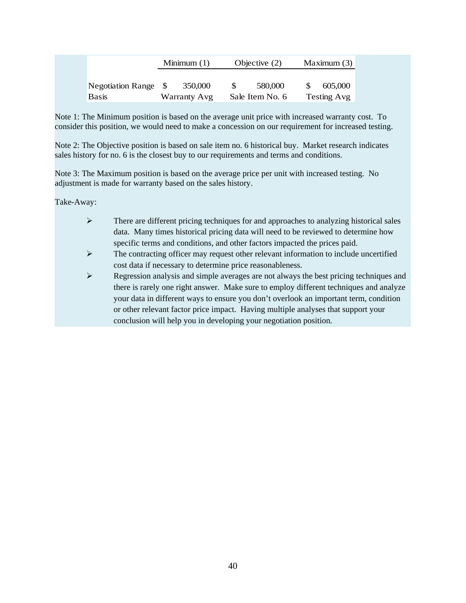|                      | Minimum $(1)$       | Objective $(2)$ | Maximum $(3)$ |  |
|----------------------|---------------------|-----------------|---------------|--|
| Negotiation Range \$ | 350,000             | 580,000         | 605,000       |  |
| <b>Basis</b>         | <b>Warranty Avg</b> | Sale Item No. 6 | Testing Avg   |  |

Note 1: The Minimum position is based on the average unit price with increased warranty cost. To consider this position, we would need to make a concession on our requirement for increased testing.

Note 2: The Objective position is based on sale item no. 6 historical buy. Market research indicates sales history for no. 6 is the closest buy to our requirements and terms and conditions.

Note 3: The Maximum position is based on the average price per unit with increased testing. No adjustment is made for warranty based on the sales history.

Take-Away:

- $\triangleright$  There are different pricing techniques for and approaches to analyzing historical sales data. Many times historical pricing data will need to be reviewed to determine how specific terms and conditions, and other factors impacted the prices paid.
- $\triangleright$  The contracting officer may request other relevant information to include uncertified cost data if necessary to determine price reasonableness.
- <span id="page-40-0"></span>Regression analysis and simple averages are not always the best pricing techniques and there is rarely one right answer. Make sure to employ different techniques and analyze your data in different ways to ensure you don't overlook an important term, condition or other relevant factor price impact. Having multiple analyses that support your conclusion will help you in developing your negotiation position.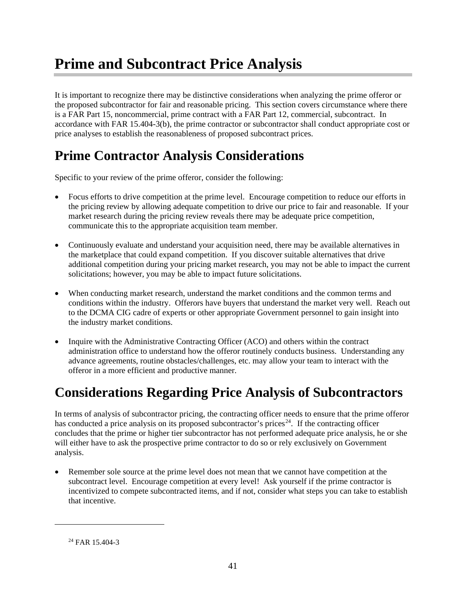# **Prime and Subcontract Price Analysis**

It is important to recognize there may be distinctive considerations when analyzing the prime offeror or the proposed subcontractor for fair and reasonable pricing. This section covers circumstance where there is a FAR Part 15, noncommercial, prime contract with a FAR Part 12, commercial, subcontract. In accordance with FAR 15.404-3(b), the prime contractor or subcontractor shall conduct appropriate cost or price analyses to establish the reasonableness of proposed subcontract prices.

# **Prime Contractor Analysis Considerations**

Specific to your review of the prime offeror, consider the following:

- Focus efforts to drive competition at the prime level. Encourage competition to reduce our efforts in the pricing review by allowing adequate competition to drive our price to fair and reasonable. If your market research during the pricing review reveals there may be adequate price competition, communicate this to the appropriate acquisition team member.
- Continuously evaluate and understand your acquisition need, there may be available alternatives in the marketplace that could expand competition. If you discover suitable alternatives that drive additional competition during your pricing market research, you may not be able to impact the current solicitations; however, you may be able to impact future solicitations.
- When conducting market research, understand the market conditions and the common terms and conditions within the industry. Offerors have buyers that understand the market very well. Reach out to the DCMA CIG cadre of experts or other appropriate Government personnel to gain insight into the industry market conditions.
- Inquire with the Administrative Contracting Officer (ACO) and others within the contract administration office to understand how the offeror routinely conducts business. Understanding any advance agreements, routine obstacles/challenges, etc. may allow your team to interact with the offeror in a more efficient and productive manner.

# **Considerations Regarding Price Analysis of Subcontractors**

In terms of analysis of subcontractor pricing, the contracting officer needs to ensure that the prime offeror has conducted a price analysis on its proposed subcontractor's prices<sup>[24](#page-41-0)</sup>. If the contracting officer concludes that the prime or higher tier subcontractor has not performed adequate price analysis, he or she will either have to ask the prospective prime contractor to do so or rely exclusively on Government analysis.

• Remember sole source at the prime level does not mean that we cannot have competition at the subcontract level. Encourage competition at every level! Ask yourself if the prime contractor is incentivized to compete subcontracted items, and if not, consider what steps you can take to establish that incentive.

<span id="page-41-0"></span> $\overline{a}$ 

<sup>24</sup> FAR 15.404-3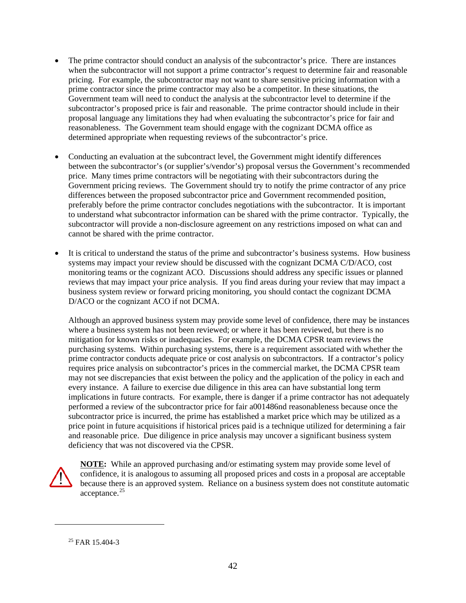- The prime contractor should conduct an analysis of the subcontractor's price. There are instances when the subcontractor will not support a prime contractor's request to determine fair and reasonable pricing. For example, the subcontractor may not want to share sensitive pricing information with a prime contractor since the prime contractor may also be a competitor. In these situations, the Government team will need to conduct the analysis at the subcontractor level to determine if the subcontractor's proposed price is fair and reasonable. The prime contractor should include in their proposal language any limitations they had when evaluating the subcontractor's price for fair and reasonableness. The Government team should engage with the cognizant DCMA office as determined appropriate when requesting reviews of the subcontractor's price.
- Conducting an evaluation at the subcontract level, the Government might identify differences between the subcontractor's (or supplier's/vendor's) proposal versus the Government's recommended price. Many times prime contractors will be negotiating with their subcontractors during the Government pricing reviews. The Government should try to notify the prime contractor of any price differences between the proposed subcontractor price and Government recommended position, preferably before the prime contractor concludes negotiations with the subcontractor. It is important to understand what subcontractor information can be shared with the prime contractor. Typically, the subcontractor will provide a non-disclosure agreement on any restrictions imposed on what can and cannot be shared with the prime contractor.
- It is critical to understand the status of the prime and subcontractor's business systems. How business systems may impact your review should be discussed with the cognizant DCMA C/D/ACO, cost monitoring teams or the cognizant ACO. Discussions should address any specific issues or planned reviews that may impact your price analysis. If you find areas during your review that may impact a business system review or forward pricing monitoring, you should contact the cognizant DCMA D/ACO or the cognizant ACO if not DCMA.

Although an approved business system may provide some level of confidence, there may be instances where a business system has not been reviewed; or where it has been reviewed, but there is no mitigation for known risks or inadequacies. For example, the DCMA CPSR team reviews the purchasing systems. Within purchasing systems, there is a requirement associated with whether the prime contractor conducts adequate price or cost analysis on subcontractors. If a contractor's policy requires price analysis on subcontractor's prices in the commercial market, the DCMA CPSR team may not see discrepancies that exist between the policy and the application of the policy in each and every instance. A failure to exercise due diligence in this area can have substantial long term implications in future contracts. For example, there is danger if a prime contractor has not adequately performed a review of the subcontractor price for fair a001486nd reasonableness because once the subcontractor price is incurred, the prime has established a market price which may be utilized as a price point in future acquisitions if historical prices paid is a technique utilized for determining a fair and reasonable price. Due diligence in price analysis may uncover a significant business system deficiency that was not discovered via the CPSR.



<span id="page-42-0"></span> $\overline{a}$ 

**NOTE:** While an approved purchasing and/or estimating system may provide some level of confidence, it is analogous to assuming all proposed prices and costs in a proposal are acceptable because there is an approved system. Reliance on a business system does not constitute automatic acceptance.<sup>[25](#page-42-0)</sup>

<sup>25</sup> FAR 15.404-3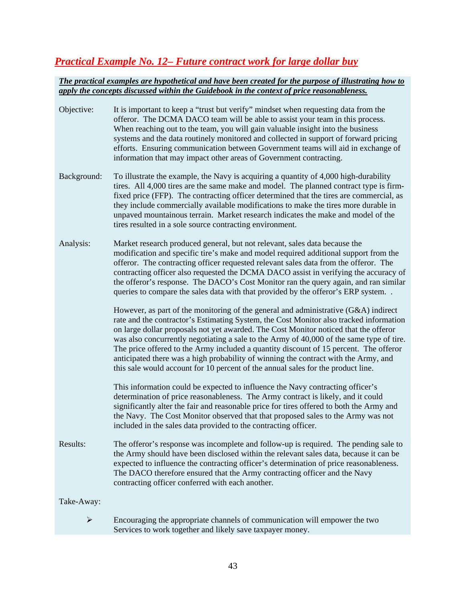# *Practical Example No. 12– Future contract work for large dollar buy*

| Objective:            | It is important to keep a "trust but verify" mindset when requesting data from the<br>offeror. The DCMA DACO team will be able to assist your team in this process.<br>When reaching out to the team, you will gain valuable insight into the business<br>systems and the data routinely monitored and collected in support of forward pricing<br>efforts. Ensuring communication between Government teams will aid in exchange of<br>information that may impact other areas of Government contracting.                                                                                                                                |
|-----------------------|-----------------------------------------------------------------------------------------------------------------------------------------------------------------------------------------------------------------------------------------------------------------------------------------------------------------------------------------------------------------------------------------------------------------------------------------------------------------------------------------------------------------------------------------------------------------------------------------------------------------------------------------|
| Background:           | To illustrate the example, the Navy is acquiring a quantity of 4,000 high-durability<br>tires. All 4,000 tires are the same make and model. The planned contract type is firm-<br>fixed price (FFP). The contracting officer determined that the tires are commercial, as<br>they include commercially available modifications to make the tires more durable in<br>unpaved mountainous terrain. Market research indicates the make and model of the<br>tires resulted in a sole source contracting environment.                                                                                                                        |
| Analysis:             | Market research produced general, but not relevant, sales data because the<br>modification and specific tire's make and model required additional support from the<br>offeror. The contracting officer requested relevant sales data from the offeror. The<br>contracting officer also requested the DCMA DACO assist in verifying the accuracy of<br>the offeror's response. The DACO's Cost Monitor ran the query again, and ran similar<br>queries to compare the sales data with that provided by the offeror's ERP system                                                                                                          |
|                       | However, as part of the monitoring of the general and administrative $(G&A)$ indirect<br>rate and the contractor's Estimating System, the Cost Monitor also tracked information<br>on large dollar proposals not yet awarded. The Cost Monitor noticed that the offeror<br>was also concurrently negotiating a sale to the Army of 40,000 of the same type of tire.<br>The price offered to the Army included a quantity discount of 15 percent. The offeror<br>anticipated there was a high probability of winning the contract with the Army, and<br>this sale would account for 10 percent of the annual sales for the product line. |
|                       | This information could be expected to influence the Navy contracting officer's<br>determination of price reasonableness. The Army contract is likely, and it could<br>significantly alter the fair and reasonable price for tires offered to both the Army and<br>the Navy. The Cost Monitor observed that that proposed sales to the Army was not<br>included in the sales data provided to the contracting officer.                                                                                                                                                                                                                   |
| Results:              | The offeror's response was incomplete and follow-up is required. The pending sale to<br>the Army should have been disclosed within the relevant sales data, because it can be<br>expected to influence the contracting officer's determination of price reasonableness.<br>The DACO therefore ensured that the Army contracting officer and the Navy<br>contracting officer conferred with each another.                                                                                                                                                                                                                                |
| Take-Away:            |                                                                                                                                                                                                                                                                                                                                                                                                                                                                                                                                                                                                                                         |
| $\blacktriangleright$ | Encouraging the appropriate channels of communication will empower the two<br>Services to work together and likely save taxpayer money.                                                                                                                                                                                                                                                                                                                                                                                                                                                                                                 |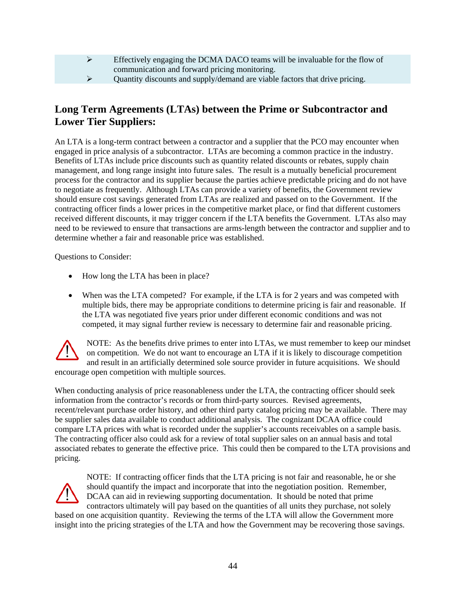| Effectively engaging the DCMA DACO teams will be invaluable for the flow of |
|-----------------------------------------------------------------------------|
| communication and forward pricing monitoring.                               |
| Quantity discounts and supply/demand are viable factors that drive pricing. |
|                                                                             |

### **Long Term Agreements (LTAs) between the Prime or Subcontractor and Lower Tier Suppliers:**

An LTA is a long-term contract between a contractor and a supplier that the PCO may encounter when engaged in price analysis of a subcontractor. LTAs are becoming a common practice in the industry. Benefits of LTAs include price discounts such as quantity related discounts or rebates, supply chain management, and long range insight into future sales. The result is a mutually beneficial procurement process for the contractor and its supplier because the parties achieve predictable pricing and do not have to negotiate as frequently. Although LTAs can provide a variety of benefits, the Government review should ensure cost savings generated from LTAs are realized and passed on to the Government. If the contracting officer finds a lower prices in the competitive market place, or find that different customers received different discounts, it may trigger concern if the LTA benefits the Government. LTAs also may need to be reviewed to ensure that transactions are arms-length between the contractor and supplier and to determine whether a fair and reasonable price was established.

Questions to Consider:

- How long the LTA has been in place?
- When was the LTA competed? For example, if the LTA is for 2 years and was competed with multiple bids, there may be appropriate conditions to determine pricing is fair and reasonable. If the LTA was negotiated five years prior under different economic conditions and was not competed, it may signal further review is necessary to determine fair and reasonable pricing.

NOTE: As the benefits drive primes to enter into LTAs, we must remember to keep our mindset on competition. We do not want to encourage an LTA if it is likely to discourage competition and result in an artificially determined sole source provider in future acquisitions. We should encourage open competition with multiple sources.

When conducting analysis of price reasonableness under the LTA, the contracting officer should seek information from the contractor's records or from third-party sources. Revised agreements, recent/relevant purchase order history, and other third party catalog pricing may be available. There may be supplier sales data available to conduct additional analysis. The cognizant DCAA office could compare LTA prices with what is recorded under the supplier's accounts receivables on a sample basis. The contracting officer also could ask for a review of total supplier sales on an annual basis and total associated rebates to generate the effective price. This could then be compared to the LTA provisions and pricing.



NOTE: If contracting officer finds that the LTA pricing is not fair and reasonable, he or she should quantify the impact and incorporate that into the negotiation position. Remember, DCAA can aid in reviewing supporting documentation. It should be noted that prime contractors ultimately will pay based on the quantities of all units they purchase, not solely

based on one acquisition quantity. Reviewing the terms of the LTA will allow the Government more insight into the pricing strategies of the LTA and how the Government may be recovering those savings.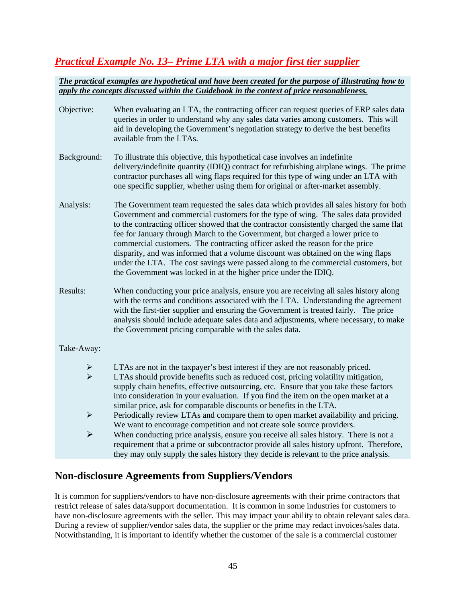# *Practical Example No. 13– Prime LTA with a major first tier supplier*

#### *The practical examples are hypothetical and have been created for the purpose of illustrating how to apply the concepts discussed within the Guidebook in the context of price reasonableness.*

| Objective:            | When evaluating an LTA, the contracting officer can request queries of ERP sales data<br>queries in order to understand why any sales data varies among customers. This will<br>aid in developing the Government's negotiation strategy to derive the best benefits<br>available from the LTAs.                                                                                                                                                                                                                                                                                                                                                                                         |
|-----------------------|-----------------------------------------------------------------------------------------------------------------------------------------------------------------------------------------------------------------------------------------------------------------------------------------------------------------------------------------------------------------------------------------------------------------------------------------------------------------------------------------------------------------------------------------------------------------------------------------------------------------------------------------------------------------------------------------|
| Background:           | To illustrate this objective, this hypothetical case involves an indefinite<br>delivery/indefinite quantity (IDIQ) contract for refurbishing airplane wings. The prime<br>contractor purchases all wing flaps required for this type of wing under an LTA with<br>one specific supplier, whether using them for original or after-market assembly.                                                                                                                                                                                                                                                                                                                                      |
| Analysis:             | The Government team requested the sales data which provides all sales history for both<br>Government and commercial customers for the type of wing. The sales data provided<br>to the contracting officer showed that the contractor consistently charged the same flat<br>fee for January through March to the Government, but charged a lower price to<br>commercial customers. The contracting officer asked the reason for the price<br>disparity, and was informed that a volume discount was obtained on the wing flaps<br>under the LTA. The cost savings were passed along to the commercial customers, but<br>the Government was locked in at the higher price under the IDIQ. |
| Results:              | When conducting your price analysis, ensure you are receiving all sales history along<br>with the terms and conditions associated with the LTA. Understanding the agreement<br>with the first-tier supplier and ensuring the Government is treated fairly. The price<br>analysis should include adequate sales data and adjustments, where necessary, to make<br>the Government pricing comparable with the sales data.                                                                                                                                                                                                                                                                 |
| Take-Away:            |                                                                                                                                                                                                                                                                                                                                                                                                                                                                                                                                                                                                                                                                                         |
|                       | LTAs are not in the taxpayer's best interest if they are not reasonably priced.                                                                                                                                                                                                                                                                                                                                                                                                                                                                                                                                                                                                         |
| $\checkmark$          | LTAs should provide benefits such as reduced cost, pricing volatility mitigation,<br>supply chain benefits, effective outsourcing, etc. Ensure that you take these factors<br>into consideration in your evaluation. If you find the item on the open market at a<br>similar price, ask for comparable discounts or benefits in the LTA.                                                                                                                                                                                                                                                                                                                                                |
| $\blacktriangleright$ | Periodically review LTAs and compare them to open market availability and pricing.<br>We want to encourage competition and not create sole source providers.                                                                                                                                                                                                                                                                                                                                                                                                                                                                                                                            |
| $\blacktriangleright$ | When conducting price analysis, ensure you receive all sales history. There is not a<br>requirement that a prime or subcontractor provide all sales history upfront. Therefore,<br>they may only supply the sales history they decide is relevant to the price analysis.                                                                                                                                                                                                                                                                                                                                                                                                                |

### **Non-disclosure Agreements from Suppliers/Vendors**

It is common for suppliers/vendors to have non-disclosure agreements with their prime contractors that restrict release of sales data/support documentation. It is common in some industries for customers to have non-disclosure agreements with the seller. This may impact your ability to obtain relevant sales data. During a review of supplier/vendor sales data, the supplier or the prime may redact invoices/sales data. Notwithstanding, it is important to identify whether the customer of the sale is a commercial customer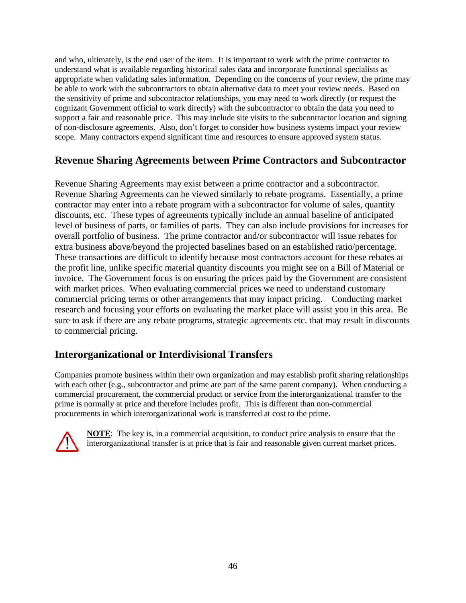and who, ultimately, is the end user of the item. It is important to work with the prime contractor to understand what is available regarding historical sales data and incorporate functional specialists as appropriate when validating sales information. Depending on the concerns of your review, the prime may be able to work with the subcontractors to obtain alternative data to meet your review needs. Based on the sensitivity of prime and subcontractor relationships, you may need to work directly (or request the cognizant Government official to work directly) with the subcontractor to obtain the data you need to support a fair and reasonable price. This may include site visits to the subcontractor location and signing of non-disclosure agreements. Also, don't forget to consider how business systems impact your review scope. Many contractors expend significant time and resources to ensure approved system status.

# **Revenue Sharing Agreements between Prime Contractors and Subcontractor**

Revenue Sharing Agreements may exist between a prime contractor and a subcontractor. Revenue Sharing Agreements can be viewed similarly to rebate programs. Essentially, a prime contractor may enter into a rebate program with a subcontractor for volume of sales, quantity discounts, etc. These types of agreements typically include an annual baseline of anticipated level of business of parts, or families of parts. They can also include provisions for increases for overall portfolio of business. The prime contractor and/or subcontractor will issue rebates for extra business above/beyond the projected baselines based on an established ratio/percentage. These transactions are difficult to identify because most contractors account for these rebates at the profit line, unlike specific material quantity discounts you might see on a Bill of Material or invoice. The Government focus is on ensuring the prices paid by the Government are consistent with market prices. When evaluating commercial prices we need to understand customary commercial pricing terms or other arrangements that may impact pricing. Conducting market research and focusing your efforts on evaluating the market place will assist you in this area. Be sure to ask if there are any rebate programs, strategic agreements etc. that may result in discounts to commercial pricing.

### **Interorganizational or Interdivisional Transfers**

Companies promote business within their own organization and may establish profit sharing relationships with each other (e.g., subcontractor and prime are part of the same parent company). When conducting a commercial procurement, the commercial product or service from the interorganizational transfer to the prime is normally at price and therefore includes profit. This is different than non-commercial procurements in which interorganizational work is transferred at cost to the prime.

<span id="page-46-0"></span>

**NOTE**: The key is, in a commercial acquisition, to conduct price analysis to ensure that the interorganizational transfer is at price that is fair and reasonable given current market prices.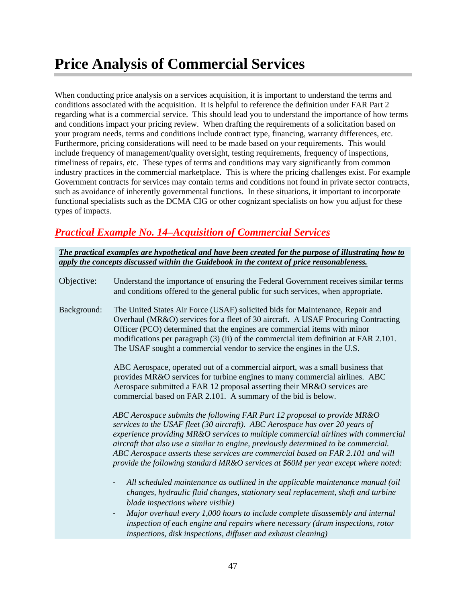When conducting price analysis on a services acquisition, it is important to understand the terms and conditions associated with the acquisition. It is helpful to reference the definition under FAR Part 2 regarding what is a commercial service. This should lead you to understand the importance of how terms and conditions impact your pricing review. When drafting the requirements of a solicitation based on your program needs, terms and conditions include contract type, financing, warranty differences, etc. Furthermore, pricing considerations will need to be made based on your requirements. This would include frequency of management/quality oversight, testing requirements, frequency of inspections, timeliness of repairs, etc. These types of terms and conditions may vary significantly from common industry practices in the commercial marketplace. This is where the pricing challenges exist. For example Government contracts for services may contain terms and conditions not found in private sector contracts, such as avoidance of inherently governmental functions. In these situations, it important to incorporate functional specialists such as the DCMA CIG or other cognizant specialists on how you adjust for these types of impacts.

# *Practical Example No. 14–Acquisition of Commercial Services*

*The practical examples are hypothetical and have been created for the purpose of illustrating how to apply the concepts discussed within the Guidebook in the context of price reasonableness.* 

- Objective: Understand the importance of ensuring the Federal Government receives similar terms and conditions offered to the general public for such services, when appropriate.
- Background: The United States Air Force (USAF) solicited bids for Maintenance, Repair and Overhaul (MR&O) services for a fleet of 30 aircraft. A USAF Procuring Contracting Officer (PCO) determined that the engines are commercial items with minor modifications per paragraph (3) (ii) of the commercial item definition at FAR 2.101. The USAF sought a commercial vendor to service the engines in the U.S.

ABC Aerospace, operated out of a commercial airport, was a small business that provides MR&O services for turbine engines to many commercial airlines. ABC Aerospace submitted a FAR 12 proposal asserting their MR&O services are commercial based on FAR 2.101. A summary of the bid is below.

*ABC Aerospace submits the following FAR Part 12 proposal to provide MR&O services to the USAF fleet (30 aircraft). ABC Aerospace has over 20 years of experience providing MR&O services to multiple commercial airlines with commercial aircraft that also use a similar to engine, previously determined to be commercial. ABC Aerospace asserts these services are commercial based on FAR 2.101 and will provide the following standard MR&O services at \$60M per year except where noted:*

- *All scheduled maintenance as outlined in the applicable maintenance manual (oil changes, hydraulic fluid changes, stationary seal replacement, shaft and turbine blade inspections where visible)*
- *Major overhaul every 1,000 hours to include complete disassembly and internal inspection of each engine and repairs where necessary (drum inspections, rotor inspections, disk inspections, diffuser and exhaust cleaning)*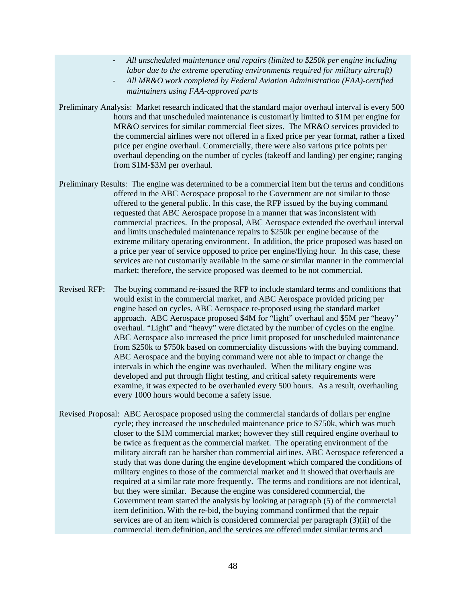- *All unscheduled maintenance and repairs (limited to \$250k per engine including labor due to the extreme operating environments required for military aircraft)*
- *All MR&O work completed by Federal Aviation Administration (FAA)-certified maintainers using FAA-approved parts*
- Preliminary Analysis: Market research indicated that the standard major overhaul interval is every 500 hours and that unscheduled maintenance is customarily limited to \$1M per engine for MR&O services for similar commercial fleet sizes. The MR&O services provided to the commercial airlines were not offered in a fixed price per year format, rather a fixed price per engine overhaul. Commercially, there were also various price points per overhaul depending on the number of cycles (takeoff and landing) per engine; ranging from \$1M-\$3M per overhaul.
- Preliminary Results: The engine was determined to be a commercial item but the terms and conditions offered in the ABC Aerospace proposal to the Government are not similar to those offered to the general public. In this case, the RFP issued by the buying command requested that ABC Aerospace propose in a manner that was inconsistent with commercial practices. In the proposal, ABC Aerospace extended the overhaul interval and limits unscheduled maintenance repairs to \$250k per engine because of the extreme military operating environment. In addition, the price proposed was based on a price per year of service opposed to price per engine/flying hour. In this case, these services are not customarily available in the same or similar manner in the commercial market; therefore, the service proposed was deemed to be not commercial.
- Revised RFP: The buying command re-issued the RFP to include standard terms and conditions that would exist in the commercial market, and ABC Aerospace provided pricing per engine based on cycles. ABC Aerospace re-proposed using the standard market approach. ABC Aerospace proposed \$4M for "light" overhaul and \$5M per "heavy" overhaul. "Light" and "heavy" were dictated by the number of cycles on the engine. ABC Aerospace also increased the price limit proposed for unscheduled maintenance from \$250k to \$750k based on commerciality discussions with the buying command. ABC Aerospace and the buying command were not able to impact or change the intervals in which the engine was overhauled. When the military engine was developed and put through flight testing, and critical safety requirements were examine, it was expected to be overhauled every 500 hours. As a result, overhauling every 1000 hours would become a safety issue.
- Revised Proposal: ABC Aerospace proposed using the commercial standards of dollars per engine cycle; they increased the unscheduled maintenance price to \$750k, which was much closer to the \$1M commercial market; however they still required engine overhaul to be twice as frequent as the commercial market. The operating environment of the military aircraft can be harsher than commercial airlines. ABC Aerospace referenced a study that was done during the engine development which compared the conditions of military engines to those of the commercial market and it showed that overhauls are required at a similar rate more frequently. The terms and conditions are not identical, but they were similar. Because the engine was considered commercial, the Government team started the analysis by looking at paragraph (5) of the commercial item definition. With the re-bid, the buying command confirmed that the repair services are of an item which is considered commercial per paragraph (3)(ii) of the commercial item definition, and the services are offered under similar terms and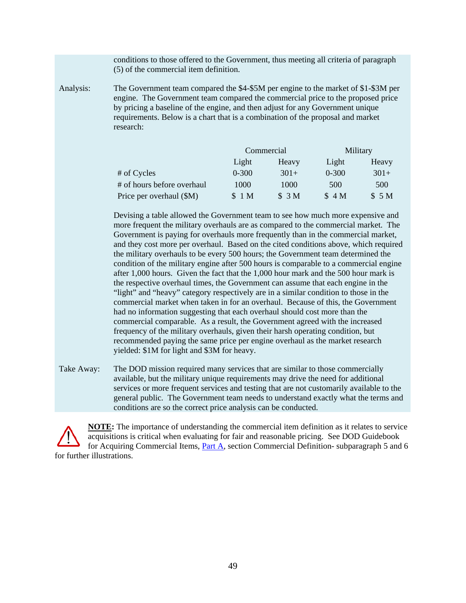conditions to those offered to the Government, thus meeting all criteria of paragraph (5) of the commercial item definition.

Analysis: The Government team compared the \$4-\$5M per engine to the market of \$1-\$3M per engine. The Government team compared the commercial price to the proposed price by pricing a baseline of the engine, and then adjust for any Government unique requirements. Below is a chart that is a combination of the proposal and market research:

|                            |           | Commercial | Military  |        |  |
|----------------------------|-----------|------------|-----------|--------|--|
|                            | Light     | Heavy      | Light     | Heavy  |  |
| # of Cycles                | $0 - 300$ | $301+$     | $0 - 300$ | $301+$ |  |
| # of hours before overhaul | 1000      | 1000       | 500       | 500    |  |
| Price per overhaul (\$M)   | \$1 M     | \$3M       | \$4M      | \$5M   |  |

Devising a table allowed the Government team to see how much more expensive and more frequent the military overhauls are as compared to the commercial market. The Government is paying for overhauls more frequently than in the commercial market, and they cost more per overhaul. Based on the cited conditions above, which required the military overhauls to be every 500 hours; the Government team determined the condition of the military engine after 500 hours is comparable to a commercial engine after 1,000 hours. Given the fact that the 1,000 hour mark and the 500 hour mark is the respective overhaul times, the Government can assume that each engine in the "light" and "heavy" category respectively are in a similar condition to those in the commercial market when taken in for an overhaul. Because of this, the Government had no information suggesting that each overhaul should cost more than the commercial comparable. As a result, the Government agreed with the increased frequency of the military overhauls, given their harsh operating condition, but recommended paying the same price per engine overhaul as the market research yielded: \$1M for light and \$3M for heavy.

Take Away: The DOD mission required many services that are similar to those commercially available, but the military unique requirements may drive the need for additional services or more frequent services and testing that are not customarily available to the general public. The Government team needs to understand exactly what the terms and conditions are so the correct price analysis can be conducted.

<span id="page-49-0"></span>**NOTE:** The importance of understanding the commercial item definition as it relates to service acquisitions is critical when evaluating for fair and reasonable pricing. See DOD Guidebook for Acquiring Commercial Items, [Part A,](https://www.acq.osd.mil/dpap/cpic/cp/docs/Guidebook_Part_A_Commercial_Item_Determination_20180129.pdf) section Commercial Definition- subparagraph 5 and 6 for further illustrations.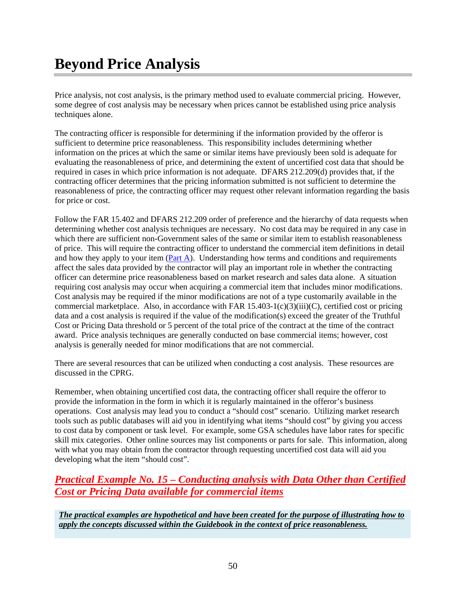# **Beyond Price Analysis**

Price analysis, not cost analysis, is the primary method used to evaluate commercial pricing. However, some degree of cost analysis may be necessary when prices cannot be established using price analysis techniques alone.

The contracting officer is responsible for determining if the information provided by the offeror is sufficient to determine price reasonableness. This responsibility includes determining whether information on the prices at which the same or similar items have previously been sold is adequate for evaluating the reasonableness of price, and determining the extent of uncertified cost data that should be required in cases in which price information is not adequate. DFARS 212.209(d) provides that, if the contracting officer determines that the pricing information submitted is not sufficient to determine the reasonableness of price, the contracting officer may request other relevant information regarding the basis for price or cost.

Follow the FAR 15.402 and DFARS 212.209 order of preference and the hierarchy of data requests when determining whether cost analysis techniques are necessary. No cost data may be required in any case in which there are sufficient non-Government sales of the same or similar item to establish reasonableness of price. This will require the contracting officer to understand the commercial item definitions in detail and how they apply to your item [\(Part A\)](https://www.acq.osd.mil/dpap/cpic/cp/docs/Guidebook_Part_A_Commercial_Item_Determination_20180129.pdf). Understanding how terms and conditions and requirements affect the sales data provided by the contractor will play an important role in whether the contracting officer can determine price reasonableness based on market research and sales data alone. A situation requiring cost analysis may occur when acquiring a commercial item that includes minor modifications. Cost analysis may be required if the minor modifications are not of a type customarily available in the commercial marketplace. Also, in accordance with FAR  $15.403-1(c)(3)(iii)(C)$ , certified cost or pricing data and a cost analysis is required if the value of the modification(s) exceed the greater of the Truthful Cost or Pricing Data threshold or 5 percent of the total price of the contract at the time of the contract award. Price analysis techniques are generally conducted on base commercial items; however, cost analysis is generally needed for minor modifications that are not commercial.

There are several resources that can be utilized when conducting a cost analysis. These resources are discussed in the CPRG.

Remember, when obtaining uncertified cost data, the contracting officer shall require the offeror to provide the information in the form in which it is regularly maintained in the offeror's business operations. Cost analysis may lead you to conduct a "should cost" scenario. Utilizing market research tools such as public databases will aid you in identifying what items "should cost" by giving you access to cost data by component or task level. For example, some GSA schedules have labor rates for specific skill mix categories. Other online sources may list components or parts for sale. This information, along with what you may obtain from the contractor through requesting uncertified cost data will aid you developing what the item "should cost".

# *Practical Example No. 15 – Conducting analysis with Data Other than Certified Cost or Pricing Data available for commercial items*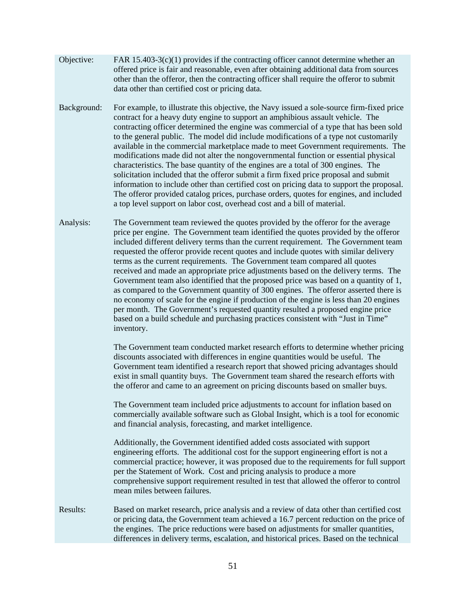- Objective: FAR  $15.403-3(c)(1)$  provides if the contracting officer cannot determine whether an offered price is fair and reasonable, even after obtaining additional data from sources other than the offeror, then the contracting officer shall require the offeror to submit data other than certified cost or pricing data.
- Background: For example, to illustrate this objective, the Navy issued a sole-source firm-fixed price contract for a heavy duty engine to support an amphibious assault vehicle. The contracting officer determined the engine was commercial of a type that has been sold to the general public. The model did include modifications of a type not customarily available in the commercial marketplace made to meet Government requirements. The modifications made did not alter the nongovernmental function or essential physical characteristics. The base quantity of the engines are a total of 300 engines. The solicitation included that the offeror submit a firm fixed price proposal and submit information to include other than certified cost on pricing data to support the proposal. The offeror provided catalog prices, purchase orders, quotes for engines, and included a top level support on labor cost, overhead cost and a bill of material.
- Analysis: The Government team reviewed the quotes provided by the offeror for the average price per engine. The Government team identified the quotes provided by the offeror included different delivery terms than the current requirement. The Government team requested the offeror provide recent quotes and include quotes with similar delivery terms as the current requirements. The Government team compared all quotes received and made an appropriate price adjustments based on the delivery terms. The Government team also identified that the proposed price was based on a quantity of 1, as compared to the Government quantity of 300 engines. The offeror asserted there is no economy of scale for the engine if production of the engine is less than 20 engines per month. The Government's requested quantity resulted a proposed engine price based on a build schedule and purchasing practices consistent with "Just in Time" inventory.

The Government team conducted market research efforts to determine whether pricing discounts associated with differences in engine quantities would be useful. The Government team identified a research report that showed pricing advantages should exist in small quantity buys. The Government team shared the research efforts with the offeror and came to an agreement on pricing discounts based on smaller buys.

The Government team included price adjustments to account for inflation based on commercially available software such as Global Insight, which is a tool for economic and financial analysis, forecasting, and market intelligence.

Additionally, the Government identified added costs associated with support engineering efforts. The additional cost for the support engineering effort is not a commercial practice; however, it was proposed due to the requirements for full support per the Statement of Work. Cost and pricing analysis to produce a more comprehensive support requirement resulted in test that allowed the offeror to control mean miles between failures.

Results: Based on market research, price analysis and a review of data other than certified cost or pricing data, the Government team achieved a 16.7 percent reduction on the price of the engines. The price reductions were based on adjustments for smaller quantities, differences in delivery terms, escalation, and historical prices. Based on the technical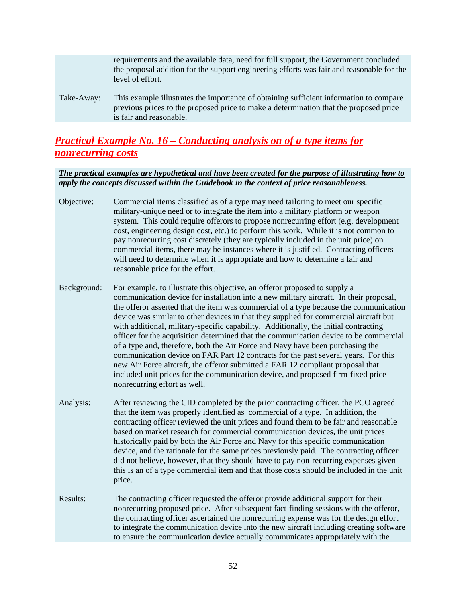|            | requirements and the available data, need for full support, the Government concluded<br>the proposal addition for the support engineering efforts was fair and reasonable for the<br>level of effort.      |
|------------|------------------------------------------------------------------------------------------------------------------------------------------------------------------------------------------------------------|
| Take-Away: | This example illustrates the importance of obtaining sufficient information to compare<br>previous prices to the proposed price to make a determination that the proposed price<br>is fair and reasonable. |

# *Practical Example No. 16 – Conducting analysis on of a type items for nonrecurring costs*

- <span id="page-52-0"></span>Objective: Commercial items classified as of a type may need tailoring to meet our specific military-unique need or to integrate the item into a military platform or weapon system. This could require offerors to propose nonrecurring effort (e.g. development cost, engineering design cost, etc.) to perform this work. While it is not common to pay nonrecurring cost discretely (they are typically included in the unit price) on commercial items, there may be instances where it is justified. Contracting officers will need to determine when it is appropriate and how to determine a fair and reasonable price for the effort.
- Background: For example, to illustrate this objective, an offeror proposed to supply a communication device for installation into a new military aircraft. In their proposal, the offeror asserted that the item was commercial of a type because the communication device was similar to other devices in that they supplied for commercial aircraft but with additional, military-specific capability. Additionally, the initial contracting officer for the acquisition determined that the communication device to be commercial of a type and, therefore, both the Air Force and Navy have been purchasing the communication device on FAR Part 12 contracts for the past several years. For this new Air Force aircraft, the offeror submitted a FAR 12 compliant proposal that included unit prices for the communication device, and proposed firm-fixed price nonrecurring effort as well.
- Analysis: After reviewing the CID completed by the prior contracting officer, the PCO agreed that the item was properly identified as commercial of a type. In addition, the contracting officer reviewed the unit prices and found them to be fair and reasonable based on market research for commercial communication devices, the unit prices historically paid by both the Air Force and Navy for this specific communication device, and the rationale for the same prices previously paid. The contracting officer did not believe, however, that they should have to pay non-recurring expenses given this is an of a type commercial item and that those costs should be included in the unit price.
- Results: The contracting officer requested the offeror provide additional support for their nonrecurring proposed price. After subsequent fact-finding sessions with the offeror, the contracting officer ascertained the nonrecurring expense was for the design effort to integrate the communication device into the new aircraft including creating software to ensure the communication device actually communicates appropriately with the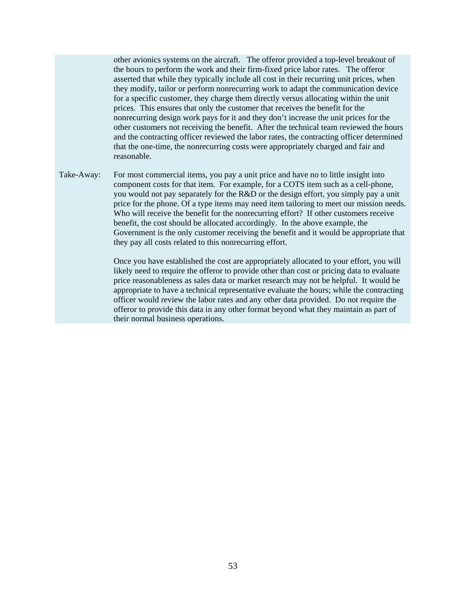other avionics systems on the aircraft. The offeror provided a top-level breakout of the hours to perform the work and their firm-fixed price labor rates. The offeror asserted that while they typically include all cost in their recurring unit prices, when they modify, tailor or perform nonrecurring work to adapt the communication device for a specific customer, they charge them directly versus allocating within the unit prices. This ensures that only the customer that receives the benefit for the nonrecurring design work pays for it and they don't increase the unit prices for the other customers not receiving the benefit. After the technical team reviewed the hours and the contracting officer reviewed the labor rates, the contracting officer determined that the one-time, the nonrecurring costs were appropriately charged and fair and reasonable.

Take-Away: For most commercial items, you pay a unit price and have no to little insight into component costs for that item. For example, for a COTS item such as a cell-phone, you would not pay separately for the R&D or the design effort, you simply pay a unit price for the phone. Of a type items may need item tailoring to meet our mission needs. Who will receive the benefit for the nonrecurring effort? If other customers receive benefit, the cost should be allocated accordingly. In the above example, the Government is the only customer receiving the benefit and it would be appropriate that they pay all costs related to this nonrecurring effort.

> Once you have established the cost are appropriately allocated to your effort, you will likely need to require the offeror to provide other than cost or pricing data to evaluate price reasonableness as sales data or market research may not be helpful. It would be appropriate to have a technical representative evaluate the hours; while the contracting officer would review the labor rates and any other data provided. Do not require the offeror to provide this data in any other format beyond what they maintain as part of their normal business operations.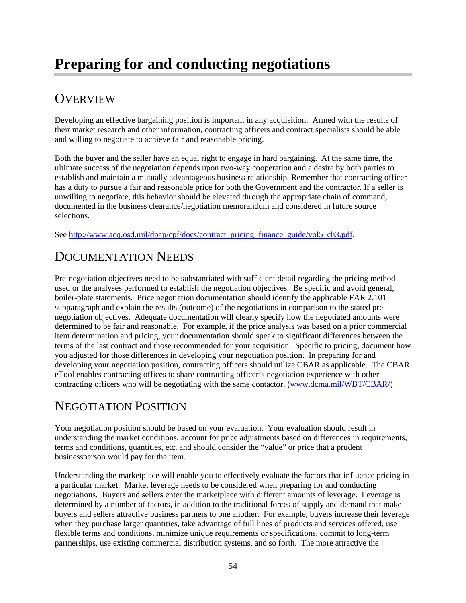# <span id="page-54-0"></span>**OVERVIEW**

Developing an effective bargaining position is important in any acquisition. Armed with the results of their market research and other information, contracting officers and contract specialists should be able and willing to negotiate to achieve fair and reasonable pricing.

Both the buyer and the seller have an equal right to engage in hard bargaining. At the same time, the ultimate success of the negotiation depends upon two-way cooperation and a desire by both parties to establish and maintain a mutually advantageous business relationship. Remember that contracting officer has a duty to pursue a fair and reasonable price for both the Government and the contractor. If a seller is unwilling to negotiate, this behavior should be elevated through the appropriate chain of command, documented in the business clearance/negotiation memorandum and considered in future source selections.

See [http://www.acq.osd.mil/dpap/cpf/docs/contract\\_pricing\\_finance\\_guide/vol5\\_ch3.pdf.](http://www.acq.osd.mil/dpap/cpf/docs/contract_pricing_finance_guide/vol5_ch3.pdf)

# <span id="page-54-1"></span>DOCUMENTATION NEEDS

Pre-negotiation objectives need to be substantiated with sufficient detail regarding the pricing method used or the analyses performed to establish the negotiation objectives. Be specific and avoid general, boiler-plate statements. Price negotiation documentation should identify the applicable FAR 2.101 subparagraph and explain the results (outcome) of the negotiations in comparison to the stated prenegotiation objectives. Adequate documentation will clearly specify how the negotiated amounts were determined to be fair and reasonable. For example, if the price analysis was based on a prior commercial item determination and pricing, your documentation should speak to significant differences between the terms of the last contract and those recommended for your acquisition. Specific to pricing, document how you adjusted for those differences in developing your negotiation position. In preparing for and developing your negotiation position, contracting officers should utilize CBAR as applicable. The CBAR eTool enables contracting offices to share contracting officer's negotiation experience with other contracting officers who will be negotiating with the same contactor. [\(www.dcma.mil/WBT/CBAR/\)](http://www.dcma.mil/WBT/CBAR/)

# <span id="page-54-2"></span>NEGOTIATION POSITION

Your negotiation position should be based on your evaluation. Your evaluation should result in understanding the market conditions, account for price adjustments based on differences in requirements, terms and conditions, quantities, etc. and should consider the "value" or price that a prudent businessperson would pay for the item.

Understanding the marketplace will enable you to effectively evaluate the factors that influence pricing in a particular market. Market leverage needs to be considered when preparing for and conducting negotiations. Buyers and sellers enter the marketplace with different amounts of leverage. Leverage is determined by a number of factors, in addition to the traditional forces of supply and demand that make buyers and sellers attractive business partners to one another. For example, buyers increase their leverage when they purchase larger quantities, take advantage of full lines of products and services offered, use flexible terms and conditions, minimize unique requirements or specifications, commit to long-term partnerships, use existing commercial distribution systems, and so forth. The more attractive the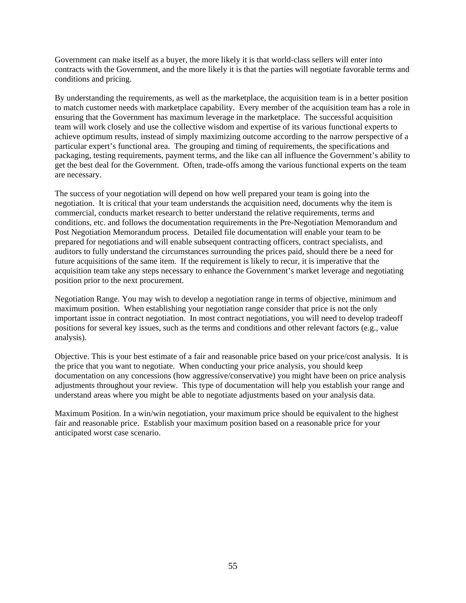Government can make itself as a buyer, the more likely it is that world-class sellers will enter into contracts with the Government, and the more likely it is that the parties will negotiate favorable terms and conditions and pricing.

By understanding the requirements, as well as the marketplace, the acquisition team is in a better position to match customer needs with marketplace capability. Every member of the acquisition team has a role in ensuring that the Government has maximum leverage in the marketplace. The successful acquisition team will work closely and use the collective wisdom and expertise of its various functional experts to achieve optimum results, instead of simply maximizing outcome according to the narrow perspective of a particular expert's functional area. The grouping and timing of requirements, the specifications and packaging, testing requirements, payment terms, and the like can all influence the Government's ability to get the best deal for the Government. Often, trade-offs among the various functional experts on the team are necessary.

The success of your negotiation will depend on how well prepared your team is going into the negotiation. It is critical that your team understands the acquisition need, documents why the item is commercial, conducts market research to better understand the relative requirements, terms and conditions, etc. and follows the documentation requirements in the Pre-Negotiation Memorandum and Post Negotiation Memorandum process. Detailed file documentation will enable your team to be prepared for negotiations and will enable subsequent contracting officers, contract specialists, and auditors to fully understand the circumstances surrounding the prices paid, should there be a need for future acquisitions of the same item. If the requirement is likely to recur, it is imperative that the acquisition team take any steps necessary to enhance the Government's market leverage and negotiating position prior to the next procurement.

Negotiation Range. You may wish to develop a negotiation range in terms of objective, minimum and maximum position. When establishing your negotiation range consider that price is not the only important issue in contract negotiation. In most contract negotiations, you will need to develop tradeoff positions for several key issues, such as the terms and conditions and other relevant factors (e.g., value analysis).

Objective. This is your best estimate of a fair and reasonable price based on your price/cost analysis. It is the price that you want to negotiate. When conducting your price analysis, you should keep documentation on any concessions (how aggressive/conservative) you might have been on price analysis adjustments throughout your review. This type of documentation will help you establish your range and understand areas where you might be able to negotiate adjustments based on your analysis data.

Maximum Position. In a win/win negotiation, your maximum price should be equivalent to the highest fair and reasonable price. Establish your maximum position based on a reasonable price for your anticipated worst case scenario.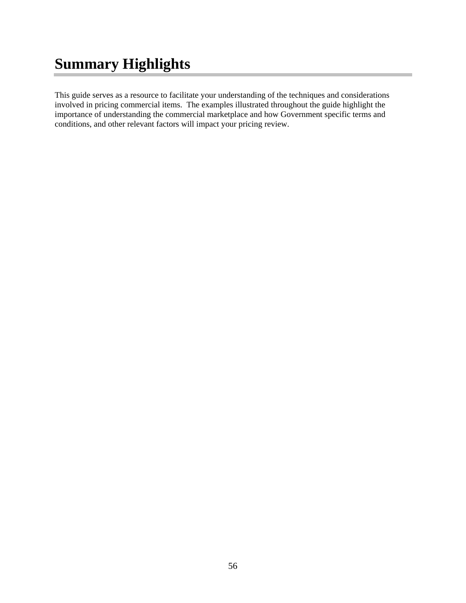# <span id="page-56-0"></span>**Summary Highlights**

This guide serves as a resource to facilitate your understanding of the techniques and considerations involved in pricing commercial items. The examples illustrated throughout the guide highlight the importance of understanding the commercial marketplace and how Government specific terms and conditions, and other relevant factors will impact your pricing review.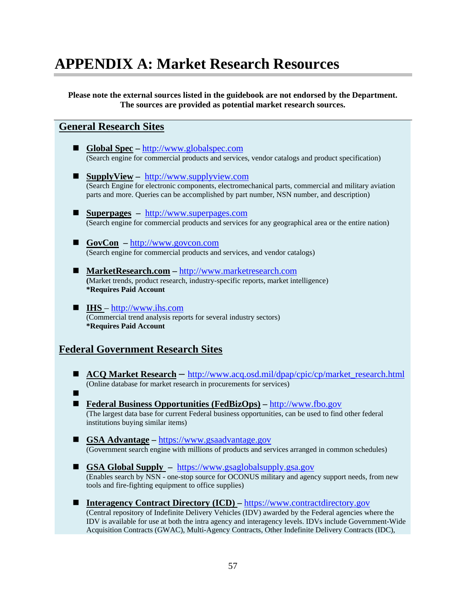# <span id="page-57-0"></span>**APPENDIX A: Market Research Resources**

**Please note the external sources listed in the guidebook are not endorsed by the Department. The sources are provided as potential market research sources.**

### **General Research Sites**

- **Global Spec** http://www.globalspec.com<br>(Search engine for commercial products and services, vendor catalogs and product specification)
- **SupplyView** [http://www.supplyview.com](http://www.supplyview.com/) (Search Engine for electronic components, electromechanical parts, commercial and military aviation parts and more. Queries can be accomplished by part number, NSN number, and description)
- **Superpages** [http://www.superpages.com](http://www.superpages.com/) (Search engine for commercial products and services for any geographical area or the entire nation)
- **GovCon** [http://www.govcon.com](http://www.govcon.com/) (Search engine for commercial products and services, and vendor catalogs)
- **[MarketResearch.com](http://www.marketresearch.com/)** [http://www.marketresearch.com](http://www.marketresearch.com/) **(**Market trends, product research, industry-specific reports, market intelligence) **\*Requires Paid Account**
- **IHS**  [http://www.ihs.com](http://www.ihs.com/) (Commercial trend analysis reports for several industry sectors) **\*Requires Paid Account**

### **Federal Government Research Sites**

- **ACQ Market Research** [http://www.acq.osd.mil/dpap/cpic/cp/market\\_research.html](http://www.acq.osd.mil/dpap/cpic/cp/market_research.html) (Online database for market research in procurements for services)
- $\blacksquare$  **[Federal Business Opportunities \(FedBizOps\)](http://www.fbo.gov/) –** [http://www.fbo.gov](http://www.fbo.gov/) (The largest data base for current Federal business opportunities, can be used to find other federal institutions buying similar items)
- **GSA Advantage** [https://www.gsaadvantage.gov](https://www.gsaadvantage.gov/) (Government search engine with millions of products and services arranged in common schedules)
- **GSA Global Supply** [https://www.gsaglobalsupply.gsa.gov](https://www.gsaglobalsupply.gsa.gov/) (Enables search by NSN - one-stop source for OCONUS military and agency support needs, from new tools and fire-fighting equipment to office supplies)
- Interagency Contract Directory (ICD) [https://www.contractdirectory.gov](https://www.contractdirectory.gov/contractdirectory/) (Central repository of Indefinite Delivery Vehicles (IDV) awarded by the Federal agencies where the IDV is available for use at both the intra agency and interagency levels. IDVs include Government-Wide Acquisition Contracts (GWAC), Multi-Agency Contracts, Other Indefinite Delivery Contracts (IDC),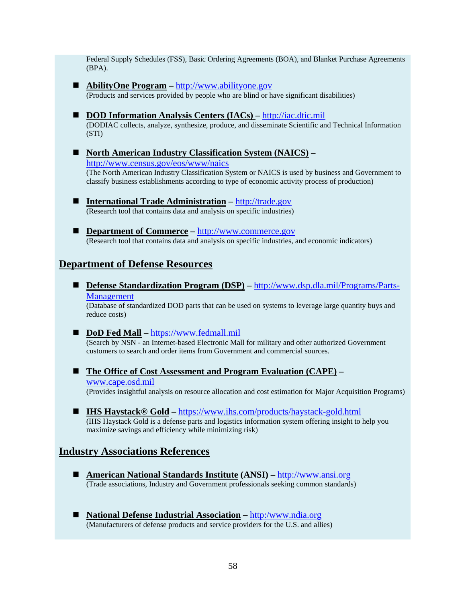Federal Supply Schedules (FSS), Basic Ordering Agreements (BOA), and Blanket Purchase Agreements (BPA).

- **[AbilityOne](http://www.abilityone.gov/jwod/index.html) [Program](https://cs.eis.af.mil/airforcecontracting/knowledge_center/Documents/AFFARS_Library/5310/%20Program)** [http://www.abilityone.gov](http://www.abilityone.gov/index.html) (Products and services provided by people who are blind or have significant disabilities)
- **DOD Information Analysis Centers (IACs)** [http://iac.dtic.mil](http://iac.dtic.mil/) (DODIAC collects, analyze, synthesize, produce, and disseminate Scientific and Technical Information (STI)
- North American Industry Classification System (NAICS) <http://www.census.gov/eos/www/naics>

(The North American Industry Classification System or NAICS is used by business and Government to

classify business establishments according to type of economic activity process of production)

- International Trade Administration [http://trade.gov](http://trade.gov/) (Research tool that contains data and analysis on specific industries)
- **Department of Commerce** [http://www.commerce.gov](http://www.commerce.gov/) (Research tool that contains data and analysis on specific industries, and economic indicators)

### **Department of Defense Resources**

■ **[Defense Standardization Program \(DSP\)](http://www.dsp.dla.mil/)** – [http://www.dsp.dla.mil/Programs/Parts-](http://www.dsp.dla.mil/Programs/Parts-Management)[Management](http://www.dsp.dla.mil/Programs/Parts-Management)

(Database of standardized DOD parts that can be used on systems to leverage large quantity buys and reduce costs)

**DoD Fed Mall** – https://www.fedmall.mil<br>(Search by NSN - an Internet-based Electronic Mall for military and other authorized Government customers to search and order items from Government and commercial sources.

 **The Office of Cost Assessment and Program Evaluation (CAPE) –** www.cape.osd.mil

(Provides insightful analysis on resource allocation and cost estimation for Major Acquisition Programs)

■ **IHS Haystack® Gold** – <https://www.ihs.com/products/haystack-gold.html> (IHS Haystack Gold is a defense parts and logistics information system offering insight to help you maximize savings and efficiency while minimizing risk)

### **Industry Associations References**

- **American National Standards Institute (ANSI)** [http://www.ansi.org](http://www.ansi.org/) (Trade associations, Industry and Government professionals seeking common standards)
- **National Defense Industrial Association** [http:/www.ndia.org](http://www.ndia.org/) (Manufacturers of defense products and service providers for the U.S. and allies)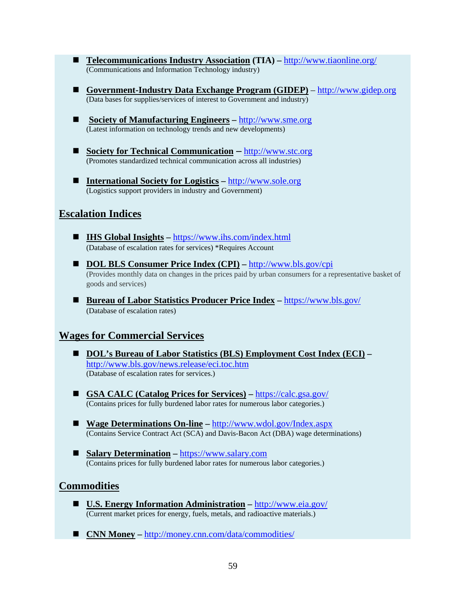- **Telecommunications Industry Association (TIA) –** <http://www.tiaonline.org/> (Communications and Information Technology industry)
- **Government-Industry Data Exchange Program (GIDEP)** [http://www.gidep.org](http://www.gidep.org/) (Data bases for supplies/services of interest to Government and industry)
- Society of Manufacturing Engineers [http://www.sme.org](http://www.sme.org/) (Latest information on technology trends and new developments)
- Society for Technical Communication [http://www.stc.org](http://www.stc.org/) (Promotes standardized technical communication across all industries)
- International Society for Logistics [http://www.sole.org](http://www.sole.org/) (Logistics support providers in industry and Government)

### **Escalation Indices**

- **IHS Global Insights** <https://www.ihs.com/index.html> (Database of escalation rates for services) \*Requires Account
- **DOL BLS Consumer Price Index (CPI)** http://www.bls.gov/cpi (Provides monthly data on changes in the prices paid by urban consumers for a representative basket of goods and services)
- Bureau of Labor Statistics Producer Price Index <https://www.bls.gov/> (Database of escalation rates)

### **Wages for Commercial Services**

- **DOL's Bureau of Labor Statistics (BLS) Employment Cost Index (ECI) –** <http://www.bls.gov/news.release/eci.toc.htm> (Database of escalation rates for services.)
- **GSA CALC (Catalog Prices for Services)** <https://calc.gsa.gov/> (Contains prices for fully burdened labor rates for numerous labor categories.)
- Wage Determinations On-line <http://www.wdol.gov/Index.aspx> (Contains Service Contract Act (SCA) and Davis-Bacon Act (DBA) wage determinations)
- Salary Determination [https://www.salary.com](https://www.salary.com/) (Contains prices for fully burdened labor rates for numerous labor categories.)

### **Commodities**

- **U.S. Energy Information Administration** <http://www.eia.gov/> (Current market prices for energy, fuels, metals, and radioactive materials.)
- CNN Money <http://money.cnn.com/data/commodities/>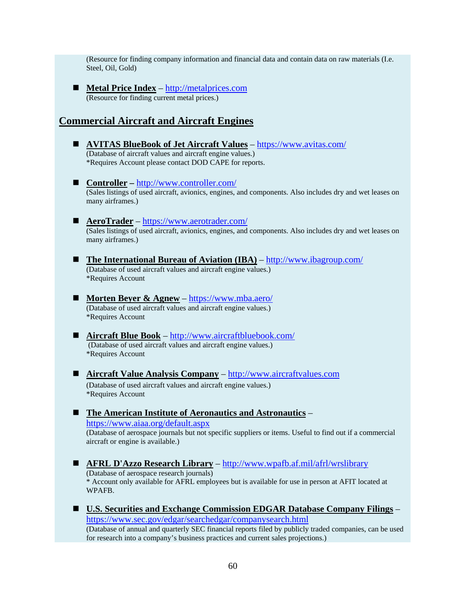(Resource for finding company information and financial data and contain data on raw materials (I.e. Steel, Oil, Gold)

■ **Metal Price Index** – [http://metalprices.com](http://metalprices.com/) (Resource for finding current metal prices.)

# **Commercial Aircraft and Aircraft Engines**

\*Requires Account

- **AVITAS BlueBook of Jet Aircraft Values** <https://www.avitas.com/> (Database of aircraft values and aircraft engine values.) \*Requires Account please contact DOD CAPE for reports. ■ **Controller** – <http://www.controller.com/> (Sales listings of used aircraft, avionics, engines, and components. Also includes dry and wet leases on many airframes.) ■ **AeroTrader** – <https://www.aerotrader.com/> (Sales listings of used aircraft, avionics, engines, and components. Also includes dry and wet leases on many airframes.) ■ The International Bureau of Aviation (IBA) – <http://www.ibagroup.com/> (Database of used aircraft values and aircraft engine values.) \*Requires Account ■ **Morten Beyer & Agnew** – <https://www.mba.aero/> (Database of used aircraft values and aircraft engine values.) \*Requires Account ■ **Aircraft Blue Book** – <http://www.aircraftbluebook.com/> (Database of used aircraft values and aircraft engine values.) \*Requires Account **Aircraft Value Analysis Company** – [http://www.aircraftvalues.com](http://www.aircraftvalues.com/) (Database of used aircraft values and aircraft engine values.)
- The American Institute of Aeronautics and Astronautics <https://www.aiaa.org/default.aspx> (Database of aerospace journals but not specific suppliers or items. Useful to find out if a commercial aircraft or engine is available.)
- **AFRL D'Azzo Research Library** <http://www.wpafb.af.mil/afrl/wrslibrary> (Database of aerospace research journals) \* Account only available for AFRL employees but is available for use in person at AFIT located at WPAFB.
- **U.S. Securities and Exchange Commission EDGAR Database Company Filings** <https://www.sec.gov/edgar/searchedgar/companysearch.html> (Database of annual and quarterly SEC financial reports filed by publicly traded companies, can be used for research into a company's business practices and current sales projections.)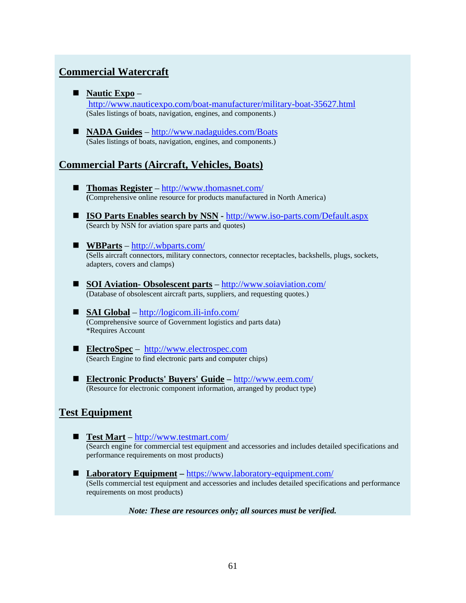# **Commercial Watercraft**

**Nautic Expo** –

<http://www.nauticexpo.com/boat-manufacturer/military-boat-35627.html> (Sales listings of boats, navigation, engines, and components.)

■ **NADA Guides** – <http://www.nadaguides.com/Boats> (Sales listings of boats, navigation, engines, and components.)

# **Commercial Parts (Aircraft, Vehicles, Boats)**

- Thomas Register <http://www.thomasnet.com/> **(**Comprehensive online resource for products manufactured in North America)
- **ISO Parts Enables search by NSN -** <http://www.iso-parts.com/Default.aspx> (Search by NSN for aviation spare parts and quotes)
- **WBParts** <http://.wbparts.com/> (Sells aircraft connectors, military connectors, connector receptacles, backshells, plugs, sockets, adapters, covers and clamps)
- **SOI Aviation- Obsolescent parts** <http://www.soiaviation.com/> (Database of obsolescent aircraft parts, suppliers, and requesting quotes.)
- **SAI Global** <http://logicom.ili-info.com/> (Comprehensive source of Government logistics and parts data) \*Requires Account
- **ElectroSpec** [http://www.electrospec.com](http://www.electrospec.com/) (Search Engine to find electronic parts and computer chips)
- **Electronic Products' Buyers' Guide –** <http://www.eem.com/> (Resource for electronic component information, arranged by product type)

### **Test Equipment**

- **Test Mart** <http://www.testmart.com/> (Search engine for commercial test equipment and accessories and includes detailed specifications and performance requirements on most products)
- Laboratory Equipment <https://www.laboratory-equipment.com/> (Sells commercial test equipment and accessories and includes detailed specifications and performance requirements on most products)

*Note: These are resources only; all sources must be verified.*